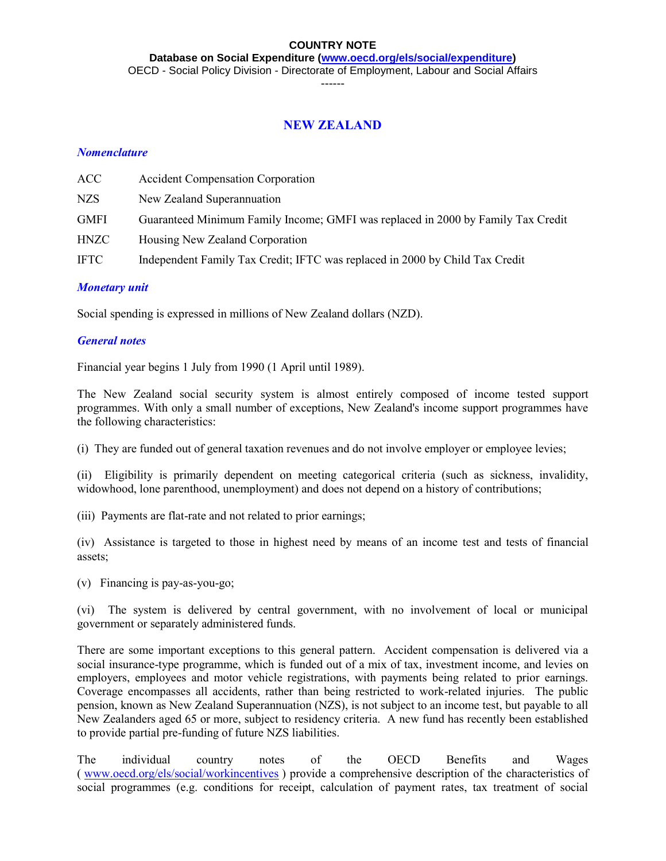**Database on Social Expenditure [\(www.oecd.org/els/social/expenditure\)](http://www.oecd.org/els/social/expenditure/SOCX)** OECD - Social Policy Division - Directorate of Employment, Labour and Social Affairs

------

# **NEW ZEALAND**

### *Nomenclature*

| <b>ACC</b>  | <b>Accident Compensation Corporation</b>                                         |
|-------------|----------------------------------------------------------------------------------|
| <b>NZS</b>  | New Zealand Superannuation                                                       |
| <b>GMFI</b> | Guaranteed Minimum Family Income; GMFI was replaced in 2000 by Family Tax Credit |
| HNZC        | Housing New Zealand Corporation                                                  |
| <b>IFTC</b> | Independent Family Tax Credit; IFTC was replaced in 2000 by Child Tax Credit     |

# *Monetary unit*

Social spending is expressed in millions of New Zealand dollars (NZD).

# *General notes*

Financial year begins 1 July from 1990 (1 April until 1989).

The New Zealand social security system is almost entirely composed of income tested support programmes. With only a small number of exceptions, New Zealand's income support programmes have the following characteristics:

(i) They are funded out of general taxation revenues and do not involve employer or employee levies;

(ii) Eligibility is primarily dependent on meeting categorical criteria (such as sickness, invalidity, widowhood, lone parenthood, unemployment) and does not depend on a history of contributions;

(iii) Payments are flat-rate and not related to prior earnings;

(iv) Assistance is targeted to those in highest need by means of an income test and tests of financial assets;

(v) Financing is pay-as-you-go;

(vi) The system is delivered by central government, with no involvement of local or municipal government or separately administered funds.

There are some important exceptions to this general pattern. Accident compensation is delivered via a social insurance-type programme, which is funded out of a mix of tax, investment income, and levies on employers, employees and motor vehicle registrations, with payments being related to prior earnings. Coverage encompasses all accidents, rather than being restricted to work-related injuries. The public pension, known as New Zealand Superannuation (NZS), is not subject to an income test, but payable to all New Zealanders aged 65 or more, subject to residency criteria. A new fund has recently been established to provide partial pre-funding of future NZS liabilities.

The individual country notes of the OECD Benefits and Wages ( [www.oecd.org/els/social/workincentives](http://www.oecd.org/els/social/workincentives) ) provide a comprehensive description of the characteristics of social programmes (e.g. conditions for receipt, calculation of payment rates, tax treatment of social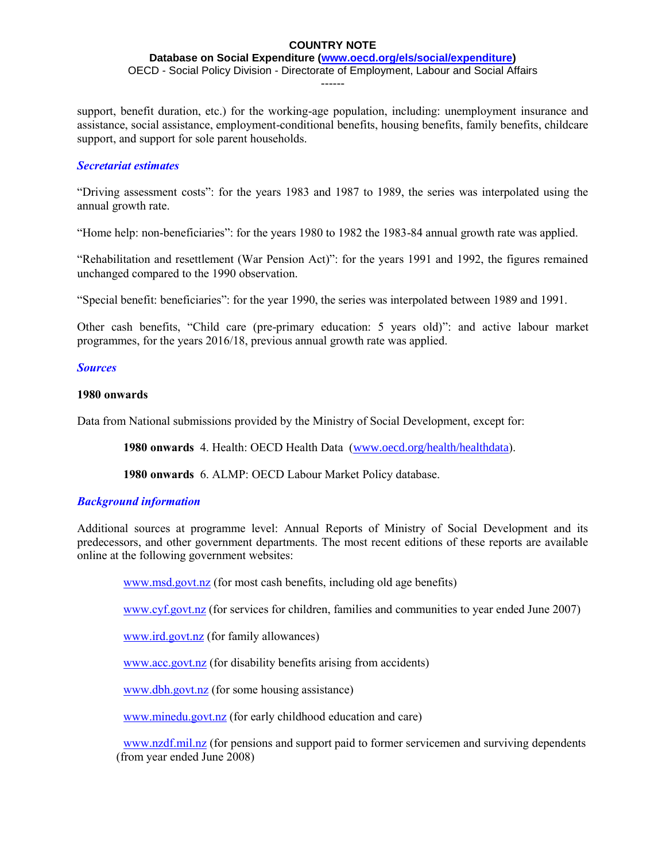### **Database on Social Expenditure [\(www.oecd.org/els/social/expenditure\)](http://www.oecd.org/els/social/expenditure/SOCX)**

OECD - Social Policy Division - Directorate of Employment, Labour and Social Affairs ------

support, benefit duration, etc.) for the working-age population, including: unemployment insurance and assistance, social assistance, employment-conditional benefits, housing benefits, family benefits, childcare support, and support for sole parent households.

#### *Secretariat estimates*

"Driving assessment costs": for the years 1983 and 1987 to 1989, the series was interpolated using the annual growth rate.

"Home help: non-beneficiaries": for the years 1980 to 1982 the 1983-84 annual growth rate was applied.

"Rehabilitation and resettlement (War Pension Act)": for the years 1991 and 1992, the figures remained unchanged compared to the 1990 observation.

"Special benefit: beneficiaries": for the year 1990, the series was interpolated between 1989 and 1991.

Other cash benefits, "Child care (pre-primary education: 5 years old)": and active labour market programmes, for the years 2016/18, previous annual growth rate was applied.

#### *Sources*

#### **1980 onwards**

Data from National submissions provided by the Ministry of Social Development, except for:

**1980 onwards** 4. Health: OECD Health Data ([www.oecd.org/health/healthdata](http://www.oecd.org/health/healthdata)).

**1980 onwards** 6. ALMP: OECD Labour Market Policy database.

#### *Background information*

Additional sources at programme level: Annual Reports of Ministry of Social Development and its predecessors, and other government departments. The most recent editions of these reports are available online at the following government websites:

[www.msd.govt.nz](http://www.msd.govt.nz/) (for most cash benefits, including old age benefits)

[www.cyf.govt.nz](http://www.cyf.govt.nz/) (for services for children, families and communities to year ended June 2007)

[www.ird.govt.nz](http://www.ird.govt.nz/) (for family allowances)

[www.acc.govt.nz](http://www.acc.govt.nz/) (for disability benefits arising from accidents)

[www.dbh.govt.nz](http://www.dbh.govt.nz/) (for some housing assistance)

[www.minedu.govt.nz](http://www.minedu.govt.nz/) (for early childhood education and care)

[www.nzdf.mil.nz](http://www.nzdf.mil.nz/) (for pensions and support paid to former servicemen and surviving dependents (from year ended June 2008)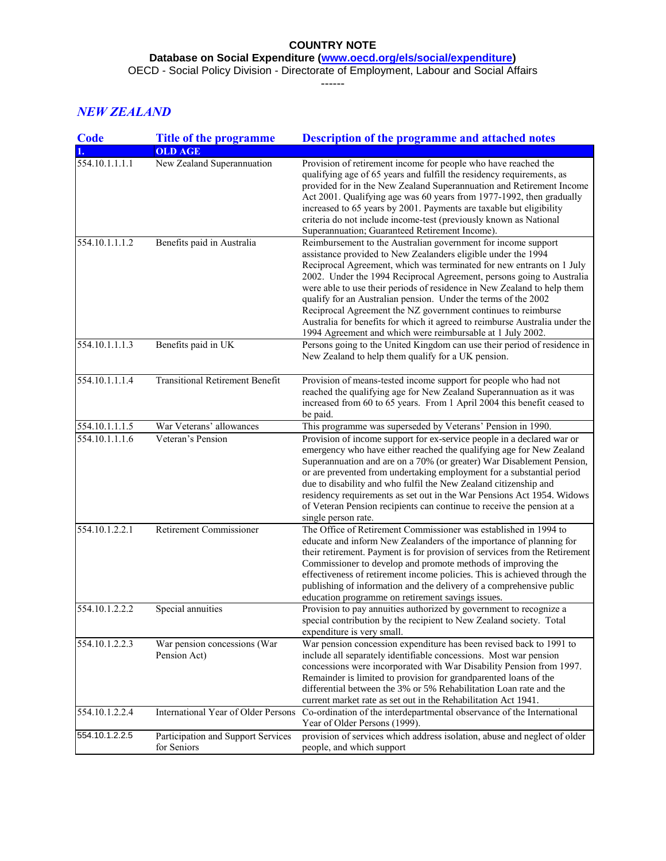**Database on Social Expenditure [\(www.oecd.org/els/social/expenditure\)](http://www.oecd.org/els/social/expenditure/SOCX)**

OECD - Social Policy Division - Directorate of Employment, Labour and Social Affairs

------

# *NEW ZEALAND*

| <b>Code</b>    | <b>Title of the programme</b>                     | <b>Description of the programme and attached notes</b>                                                                                                                                                                                                                                                                                                                                                                                                                                                                                                                                                                                      |
|----------------|---------------------------------------------------|---------------------------------------------------------------------------------------------------------------------------------------------------------------------------------------------------------------------------------------------------------------------------------------------------------------------------------------------------------------------------------------------------------------------------------------------------------------------------------------------------------------------------------------------------------------------------------------------------------------------------------------------|
|                | <b>OLD AGE</b>                                    |                                                                                                                                                                                                                                                                                                                                                                                                                                                                                                                                                                                                                                             |
| 554.10.1.1.1.1 | New Zealand Superannuation                        | Provision of retirement income for people who have reached the<br>qualifying age of 65 years and fulfill the residency requirements, as<br>provided for in the New Zealand Superannuation and Retirement Income<br>Act 2001. Qualifying age was 60 years from 1977-1992, then gradually<br>increased to 65 years by 2001. Payments are taxable but eligibility<br>criteria do not include income-test (previously known as National<br>Superannuation; Guaranteed Retirement Income).                                                                                                                                                       |
| 554.10.1.1.1.2 | Benefits paid in Australia                        | Reimbursement to the Australian government for income support<br>assistance provided to New Zealanders eligible under the 1994<br>Reciprocal Agreement, which was terminated for new entrants on 1 July<br>2002. Under the 1994 Reciprocal Agreement, persons going to Australia<br>were able to use their periods of residence in New Zealand to help them<br>qualify for an Australian pension. Under the terms of the 2002<br>Reciprocal Agreement the NZ government continues to reimburse<br>Australia for benefits for which it agreed to reimburse Australia under the<br>1994 Agreement and which were reimbursable at 1 July 2002. |
| 554.10.1.1.1.3 | Benefits paid in UK                               | Persons going to the United Kingdom can use their period of residence in<br>New Zealand to help them qualify for a UK pension.                                                                                                                                                                                                                                                                                                                                                                                                                                                                                                              |
| 554.10.1.1.1.4 | <b>Transitional Retirement Benefit</b>            | Provision of means-tested income support for people who had not<br>reached the qualifying age for New Zealand Superannuation as it was<br>increased from 60 to 65 years. From 1 April 2004 this benefit ceased to<br>be paid.                                                                                                                                                                                                                                                                                                                                                                                                               |
| 554.10.1.1.1.5 | War Veterans' allowances                          | This programme was superseded by Veterans' Pension in 1990.                                                                                                                                                                                                                                                                                                                                                                                                                                                                                                                                                                                 |
| 554.10.1.1.1.6 | Veteran's Pension                                 | Provision of income support for ex-service people in a declared war or<br>emergency who have either reached the qualifying age for New Zealand<br>Superannuation and are on a 70% (or greater) War Disablement Pension,<br>or are prevented from undertaking employment for a substantial period<br>due to disability and who fulfil the New Zealand citizenship and<br>residency requirements as set out in the War Pensions Act 1954. Widows<br>of Veteran Pension recipients can continue to receive the pension at a<br>single person rate.                                                                                             |
| 554.10.1.2.2.1 | Retirement Commissioner                           | The Office of Retirement Commissioner was established in 1994 to<br>educate and inform New Zealanders of the importance of planning for<br>their retirement. Payment is for provision of services from the Retirement<br>Commissioner to develop and promote methods of improving the<br>effectiveness of retirement income policies. This is achieved through the<br>publishing of information and the delivery of a comprehensive public<br>education programme on retirement savings issues.                                                                                                                                             |
| 554.10.1.2.2.2 | Special annuities                                 | Provision to pay annuities authorized by government to recognize a<br>special contribution by the recipient to New Zealand society. Total<br>expenditure is very small.                                                                                                                                                                                                                                                                                                                                                                                                                                                                     |
| 554.10.1.2.2.3 | War pension concessions (War<br>Pension Act)      | War pension concession expenditure has been revised back to 1991 to<br>include all separately identifiable concessions. Most war pension<br>concessions were incorporated with War Disability Pension from 1997.<br>Remainder is limited to provision for grandparented loans of the<br>differential between the 3% or 5% Rehabilitation Loan rate and the<br>current market rate as set out in the Rehabilitation Act 1941.                                                                                                                                                                                                                |
| 554.10.1.2.2.4 | International Year of Older Persons               | Co-ordination of the interdepartmental observance of the International<br>Year of Older Persons (1999).                                                                                                                                                                                                                                                                                                                                                                                                                                                                                                                                     |
| 554.10.1.2.2.5 | Participation and Support Services<br>for Seniors | provision of services which address isolation, abuse and neglect of older<br>people, and which support                                                                                                                                                                                                                                                                                                                                                                                                                                                                                                                                      |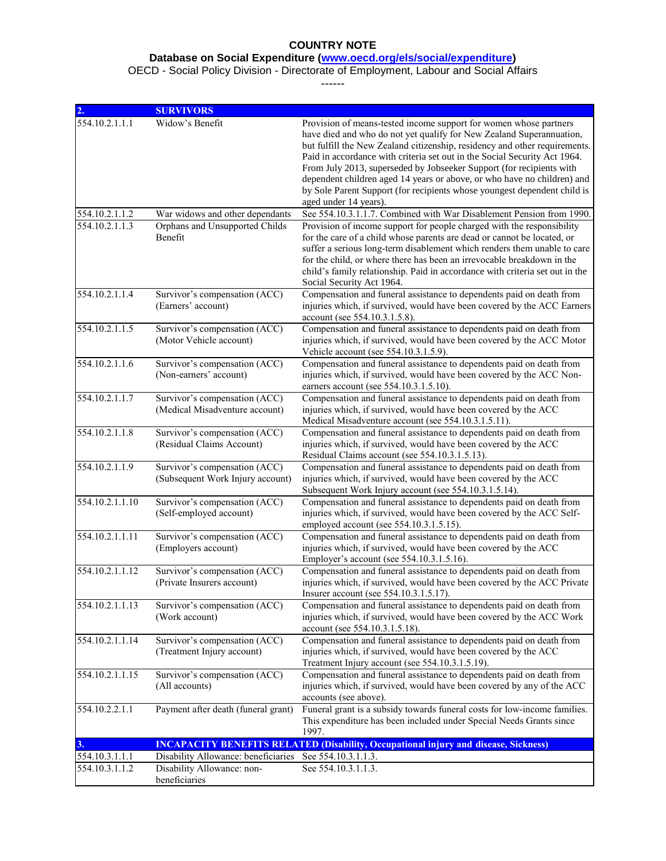#### **Database on Social Expenditure [\(www.oecd.org/els/social/expenditure\)](http://www.oecd.org/els/social/expenditure/SOCX)**

OECD - Social Policy Division - Directorate of Employment, Labour and Social Affairs

| 2.                               | <b>SURVIVORS</b>                                                             |                                                                                                                                                                                                                                                                                                                                                                                                                                                                                                                                                              |
|----------------------------------|------------------------------------------------------------------------------|--------------------------------------------------------------------------------------------------------------------------------------------------------------------------------------------------------------------------------------------------------------------------------------------------------------------------------------------------------------------------------------------------------------------------------------------------------------------------------------------------------------------------------------------------------------|
| 554.10.2.1.1.1                   | Widow's Benefit                                                              | Provision of means-tested income support for women whose partners<br>have died and who do not yet qualify for New Zealand Superannuation,<br>but fulfill the New Zealand citizenship, residency and other requirements.<br>Paid in accordance with criteria set out in the Social Security Act 1964.<br>From July 2013, superseded by Jobseeker Support (for recipients with<br>dependent children aged 14 years or above, or who have no children) and<br>by Sole Parent Support (for recipients whose youngest dependent child is<br>aged under 14 years). |
| 554.10.2.1.1.2<br>554.10.2.1.1.3 | War widows and other dependants<br>Orphans and Unsupported Childs<br>Benefit | See 554.10.3.1.1.7. Combined with War Disablement Pension from 1990.<br>Provision of income support for people charged with the responsibility<br>for the care of a child whose parents are dead or cannot be located, or<br>suffer a serious long-term disablement which renders them unable to care<br>for the child, or where there has been an irrevocable breakdown in the<br>child's family relationship. Paid in accordance with criteria set out in the<br>Social Security Act 1964.                                                                 |
| 554.10.2.1.1.4                   | Survivor's compensation (ACC)<br>(Earners' account)                          | Compensation and funeral assistance to dependents paid on death from<br>injuries which, if survived, would have been covered by the ACC Earners<br>account (see 554.10.3.1.5.8).                                                                                                                                                                                                                                                                                                                                                                             |
| 554.10.2.1.1.5                   | Survivor's compensation (ACC)<br>(Motor Vehicle account)                     | Compensation and funeral assistance to dependents paid on death from<br>injuries which, if survived, would have been covered by the ACC Motor<br>Vehicle account (see 554.10.3.1.5.9).                                                                                                                                                                                                                                                                                                                                                                       |
| 554.10.2.1.1.6                   | Survivor's compensation (ACC)<br>(Non-earners' account)                      | Compensation and funeral assistance to dependents paid on death from<br>injuries which, if survived, would have been covered by the ACC Non-<br>earners account (see 554.10.3.1.5.10).                                                                                                                                                                                                                                                                                                                                                                       |
| 554.10.2.1.1.7                   | Survivor's compensation (ACC)<br>(Medical Misadventure account)              | Compensation and funeral assistance to dependents paid on death from<br>injuries which, if survived, would have been covered by the ACC<br>Medical Misadventure account (see 554.10.3.1.5.11).                                                                                                                                                                                                                                                                                                                                                               |
| 554.10.2.1.1.8                   | Survivor's compensation (ACC)<br>(Residual Claims Account)                   | Compensation and funeral assistance to dependents paid on death from<br>injuries which, if survived, would have been covered by the ACC<br>Residual Claims account (see 554.10.3.1.5.13).                                                                                                                                                                                                                                                                                                                                                                    |
| 554.10.2.1.1.9                   | Survivor's compensation (ACC)<br>(Subsequent Work Injury account)            | Compensation and funeral assistance to dependents paid on death from<br>injuries which, if survived, would have been covered by the ACC<br>Subsequent Work Injury account (see 554.10.3.1.5.14).                                                                                                                                                                                                                                                                                                                                                             |
| 554.10.2.1.1.10                  | Survivor's compensation (ACC)<br>(Self-employed account)                     | Compensation and funeral assistance to dependents paid on death from<br>injuries which, if survived, would have been covered by the ACC Self-<br>employed account (see 554.10.3.1.5.15).                                                                                                                                                                                                                                                                                                                                                                     |
| 554.10.2.1.1.11                  | Survivor's compensation (ACC)<br>(Employers account)                         | Compensation and funeral assistance to dependents paid on death from<br>injuries which, if survived, would have been covered by the ACC<br>Employer's account (see 554.10.3.1.5.16).                                                                                                                                                                                                                                                                                                                                                                         |
| 554.10.2.1.1.12                  | Survivor's compensation (ACC)<br>(Private Insurers account)                  | Compensation and funeral assistance to dependents paid on death from<br>injuries which, if survived, would have been covered by the ACC Private<br>Insurer account (see 554.10.3.1.5.17).                                                                                                                                                                                                                                                                                                                                                                    |
| 554.10.2.1.1.13                  | Survivor's compensation (ACC)<br>(Work account)                              | Compensation and funeral assistance to dependents paid on death from<br>injuries which, if survived, would have been covered by the ACC Work<br>account (see 554.10.3.1.5.18).                                                                                                                                                                                                                                                                                                                                                                               |
| 554.10.2.1.1.14                  | Survivor's compensation (ACC)<br>(Treatment Injury account)                  | Compensation and funeral assistance to dependents paid on death from<br>injuries which, if survived, would have been covered by the ACC<br>Treatment Injury account (see 554.10.3.1.5.19).                                                                                                                                                                                                                                                                                                                                                                   |
| 554.10.2.1.1.15                  | Survivor's compensation (ACC)<br>(All accounts)                              | Compensation and funeral assistance to dependents paid on death from<br>injuries which, if survived, would have been covered by any of the ACC<br>accounts (see above).                                                                                                                                                                                                                                                                                                                                                                                      |
| 554.10.2.2.1.1                   | Payment after death (funeral grant)                                          | Funeral grant is a subsidy towards funeral costs for low-income families.<br>This expenditure has been included under Special Needs Grants since<br>1997.                                                                                                                                                                                                                                                                                                                                                                                                    |
| 3.                               |                                                                              | <b>INCAPACITY BENEFITS RELATED (Disability, Occupational injury and disease, Sickness)</b>                                                                                                                                                                                                                                                                                                                                                                                                                                                                   |
| 554.10.3.1.1.1                   | Disability Allowance: beneficiaries                                          | See 554.10.3.1.1.3.                                                                                                                                                                                                                                                                                                                                                                                                                                                                                                                                          |
| 554.10.3.1.1.2                   | Disability Allowance: non-<br>beneficiaries                                  | See 554.10.3.1.1.3.                                                                                                                                                                                                                                                                                                                                                                                                                                                                                                                                          |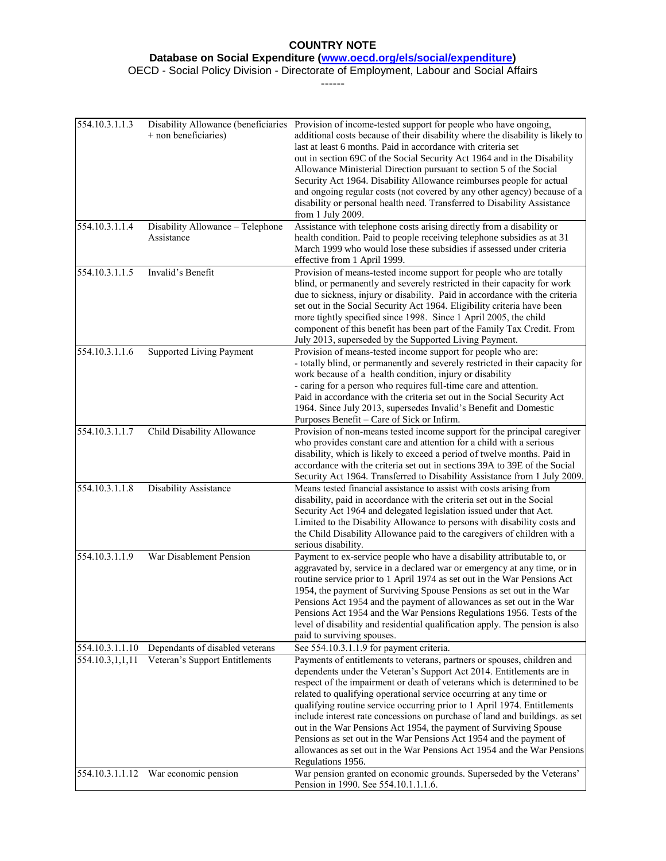#### **Database on Social Expenditure [\(www.oecd.org/els/social/expenditure\)](http://www.oecd.org/els/social/expenditure/SOCX)**

OECD - Social Policy Division - Directorate of Employment, Labour and Social Affairs

| 554.10.3.1.1.3  | + non beneficiaries)                                                   | Disability Allowance (beneficiaries Provision of income-tested support for people who have ongoing,<br>additional costs because of their disability where the disability is likely to<br>last at least 6 months. Paid in accordance with criteria set<br>out in section 69C of the Social Security Act 1964 and in the Disability<br>Allowance Ministerial Direction pursuant to section 5 of the Social<br>Security Act 1964. Disability Allowance reimburses people for actual<br>and ongoing regular costs (not covered by any other agency) because of a<br>disability or personal health need. Transferred to Disability Assistance<br>from 1 July 2009.                                                                                                                    |
|-----------------|------------------------------------------------------------------------|----------------------------------------------------------------------------------------------------------------------------------------------------------------------------------------------------------------------------------------------------------------------------------------------------------------------------------------------------------------------------------------------------------------------------------------------------------------------------------------------------------------------------------------------------------------------------------------------------------------------------------------------------------------------------------------------------------------------------------------------------------------------------------|
| 554.10.3.1.1.4  | Disability Allowance - Telephone<br>Assistance                         | Assistance with telephone costs arising directly from a disability or<br>health condition. Paid to people receiving telephone subsidies as at 31<br>March 1999 who would lose these subsidies if assessed under criteria<br>effective from 1 April 1999.                                                                                                                                                                                                                                                                                                                                                                                                                                                                                                                         |
| 554.10.3.1.1.5  | Invalid's Benefit                                                      | Provision of means-tested income support for people who are totally<br>blind, or permanently and severely restricted in their capacity for work<br>due to sickness, injury or disability. Paid in accordance with the criteria<br>set out in the Social Security Act 1964. Eligibility criteria have been<br>more tightly specified since 1998. Since 1 April 2005, the child<br>component of this benefit has been part of the Family Tax Credit. From<br>July 2013, superseded by the Supported Living Payment.                                                                                                                                                                                                                                                                |
| 554.10.3.1.1.6  | <b>Supported Living Payment</b>                                        | Provision of means-tested income support for people who are:<br>- totally blind, or permanently and severely restricted in their capacity for<br>work because of a health condition, injury or disability<br>- caring for a person who requires full-time care and attention.<br>Paid in accordance with the criteria set out in the Social Security Act<br>1964. Since July 2013, supersedes Invalid's Benefit and Domestic<br>Purposes Benefit - Care of Sick or Infirm.                                                                                                                                                                                                                                                                                                       |
| 554.10.3.1.1.7  | Child Disability Allowance                                             | Provision of non-means tested income support for the principal caregiver<br>who provides constant care and attention for a child with a serious<br>disability, which is likely to exceed a period of twelve months. Paid in<br>accordance with the criteria set out in sections 39A to 39E of the Social<br>Security Act 1964. Transferred to Disability Assistance from 1 July 2009.                                                                                                                                                                                                                                                                                                                                                                                            |
| 554.10.3.1.1.8  | Disability Assistance                                                  | Means tested financial assistance to assist with costs arising from<br>disability, paid in accordance with the criteria set out in the Social<br>Security Act 1964 and delegated legislation issued under that Act.<br>Limited to the Disability Allowance to persons with disability costs and<br>the Child Disability Allowance paid to the caregivers of children with a<br>serious disability.                                                                                                                                                                                                                                                                                                                                                                               |
| 554.10.3.1.1.9  | War Disablement Pension                                                | Payment to ex-service people who have a disability attributable to, or<br>aggravated by, service in a declared war or emergency at any time, or in<br>routine service prior to 1 April 1974 as set out in the War Pensions Act<br>1954, the payment of Surviving Spouse Pensions as set out in the War<br>Pensions Act 1954 and the payment of allowances as set out in the War<br>Pensions Act 1954 and the War Pensions Regulations 1956. Tests of the<br>level of disability and residential qualification apply. The pension is also<br>paid to surviving spouses.                                                                                                                                                                                                           |
| 554.10.3.1.1.10 | Dependants of disabled veterans                                        | See 554.10.3.1.1.9 for payment criteria.                                                                                                                                                                                                                                                                                                                                                                                                                                                                                                                                                                                                                                                                                                                                         |
| 554.10.3,1,1,11 | Veteran's Support Entitlements<br>554.10.3.1.1.12 War economic pension | Payments of entitlements to veterans, partners or spouses, children and<br>dependents under the Veteran's Support Act 2014. Entitlements are in<br>respect of the impairment or death of veterans which is determined to be<br>related to qualifying operational service occurring at any time or<br>qualifying routine service occurring prior to 1 April 1974. Entitlements<br>include interest rate concessions on purchase of land and buildings. as set<br>out in the War Pensions Act 1954, the payment of Surviving Spouse<br>Pensions as set out in the War Pensions Act 1954 and the payment of<br>allowances as set out in the War Pensions Act 1954 and the War Pensions<br>Regulations 1956.<br>War pension granted on economic grounds. Superseded by the Veterans' |
|                 |                                                                        | Pension in 1990. See 554.10.1.1.1.6.                                                                                                                                                                                                                                                                                                                                                                                                                                                                                                                                                                                                                                                                                                                                             |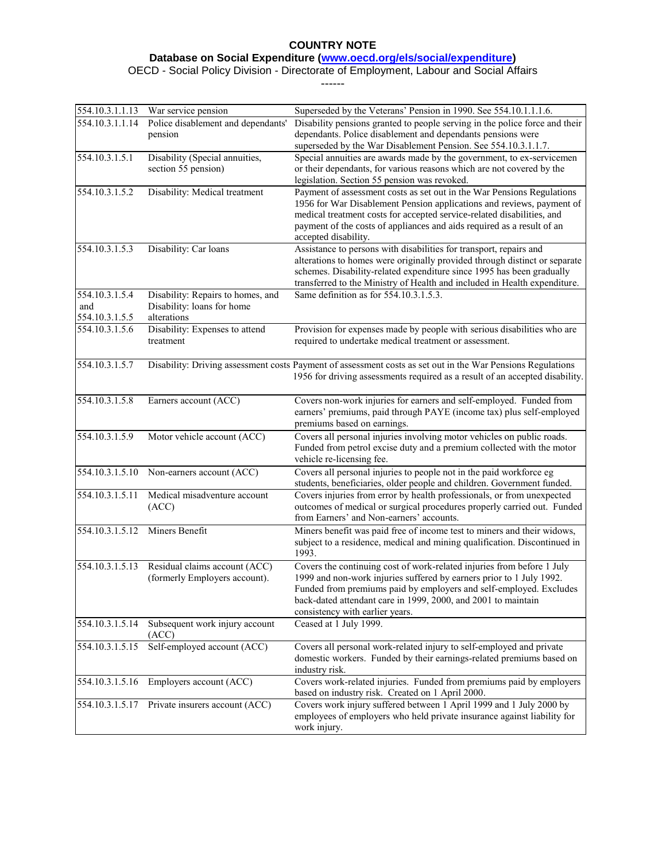#### **Database on Social Expenditure [\(www.oecd.org/els/social/expenditure\)](http://www.oecd.org/els/social/expenditure/SOCX)**

#### OECD - Social Policy Division - Directorate of Employment, Labour and Social Affairs

| 554.10.3.1.1.13             | War service pension                | Superseded by the Veterans' Pension in 1990. See 554.10.1.1.1.6.                                                                            |
|-----------------------------|------------------------------------|---------------------------------------------------------------------------------------------------------------------------------------------|
| 554.10.3.1.1.14             | Police disablement and dependants' | Disability pensions granted to people serving in the police force and their                                                                 |
|                             | pension                            | dependants. Police disablement and dependants pensions were                                                                                 |
|                             |                                    | superseded by the War Disablement Pension. See 554.10.3.1.1.7.                                                                              |
| 554.10.3.1.5.1              | Disability (Special annuities,     | Special annuities are awards made by the government, to ex-servicemen                                                                       |
|                             | section 55 pension)                | or their dependants, for various reasons which are not covered by the                                                                       |
| 554.10.3.1.5.2              | Disability: Medical treatment      | legislation. Section 55 pension was revoked.<br>Payment of assessment costs as set out in the War Pensions Regulations                      |
|                             |                                    | 1956 for War Disablement Pension applications and reviews, payment of                                                                       |
|                             |                                    | medical treatment costs for accepted service-related disabilities, and                                                                      |
|                             |                                    | payment of the costs of appliances and aids required as a result of an                                                                      |
|                             |                                    | accepted disability.                                                                                                                        |
| 554.10.3.1.5.3              | Disability: Car loans              | Assistance to persons with disabilities for transport, repairs and                                                                          |
|                             |                                    | alterations to homes were originally provided through distinct or separate                                                                  |
|                             |                                    | schemes. Disability-related expenditure since 1995 has been gradually                                                                       |
| 554.10.3.1.5.4              | Disability: Repairs to homes, and  | transferred to the Ministry of Health and included in Health expenditure.<br>Same definition as for 554.10.3.1.5.3.                         |
| and                         | Disability: loans for home         |                                                                                                                                             |
| 554.10.3.1.5.5              | alterations                        |                                                                                                                                             |
| 554.10.3.1.5.6              | Disability: Expenses to attend     | Provision for expenses made by people with serious disabilities who are                                                                     |
|                             | treatment                          | required to undertake medical treatment or assessment.                                                                                      |
|                             |                                    |                                                                                                                                             |
| 554.10.3.1.5.7              |                                    | Disability: Driving assessment costs Payment of assessment costs as set out in the War Pensions Regulations                                 |
|                             |                                    | 1956 for driving assessments required as a result of an accepted disability.                                                                |
|                             |                                    |                                                                                                                                             |
| 554.10.3.1.5.8              | Earners account (ACC)              | Covers non-work injuries for earners and self-employed. Funded from<br>earners' premiums, paid through PAYE (income tax) plus self-employed |
|                             |                                    | premiums based on earnings.                                                                                                                 |
| $554.10.3.1.\overline{5.9}$ | Motor vehicle account (ACC)        | Covers all personal injuries involving motor vehicles on public roads.                                                                      |
|                             |                                    | Funded from petrol excise duty and a premium collected with the motor                                                                       |
|                             |                                    | vehicle re-licensing fee.                                                                                                                   |
| 554.10.3.1.5.10             | Non-earners account (ACC)          | Covers all personal injuries to people not in the paid workforce eg                                                                         |
|                             |                                    | students, beneficiaries, older people and children. Government funded.                                                                      |
| 554.10.3.1.5.11             | Medical misadventure account       | Covers injuries from error by health professionals, or from unexpected                                                                      |
|                             | (ACC)                              | outcomes of medical or surgical procedures properly carried out. Funded                                                                     |
|                             |                                    | from Earners' and Non-earners' accounts.                                                                                                    |
| 554.10.3.1.5.12             | Miners Benefit                     | Miners benefit was paid free of income test to miners and their widows,                                                                     |
|                             |                                    | subject to a residence, medical and mining qualification. Discontinued in<br>1993.                                                          |
| 554.10.3.1.5.13             | Residual claims account (ACC)      | Covers the continuing cost of work-related injuries from before 1 July                                                                      |
|                             | (formerly Employers account).      | 1999 and non-work injuries suffered by earners prior to 1 July 1992.                                                                        |
|                             |                                    | Funded from premiums paid by employers and self-employed. Excludes                                                                          |
|                             |                                    | back-dated attendant care in 1999, 2000, and 2001 to maintain                                                                               |
|                             |                                    | consistency with earlier years.                                                                                                             |
| 554.10.3.1.5.14             | Subsequent work injury account     | Ceased at 1 July 1999.                                                                                                                      |
|                             | (ACC)                              |                                                                                                                                             |
| 554.10.3.1.5.15             | Self-employed account (ACC)        | Covers all personal work-related injury to self-employed and private                                                                        |
|                             |                                    | domestic workers. Funded by their earnings-related premiums based on<br>industry risk.                                                      |
| 554.10.3.1.5.16             | Employers account (ACC)            | Covers work-related injuries. Funded from premiums paid by employers                                                                        |
|                             |                                    | based on industry risk. Created on 1 April 2000.                                                                                            |
| 554.10.3.1.5.17             | Private insurers account (ACC)     | Covers work injury suffered between 1 April 1999 and 1 July 2000 by                                                                         |
|                             |                                    | employees of employers who held private insurance against liability for                                                                     |
|                             |                                    | work injury.                                                                                                                                |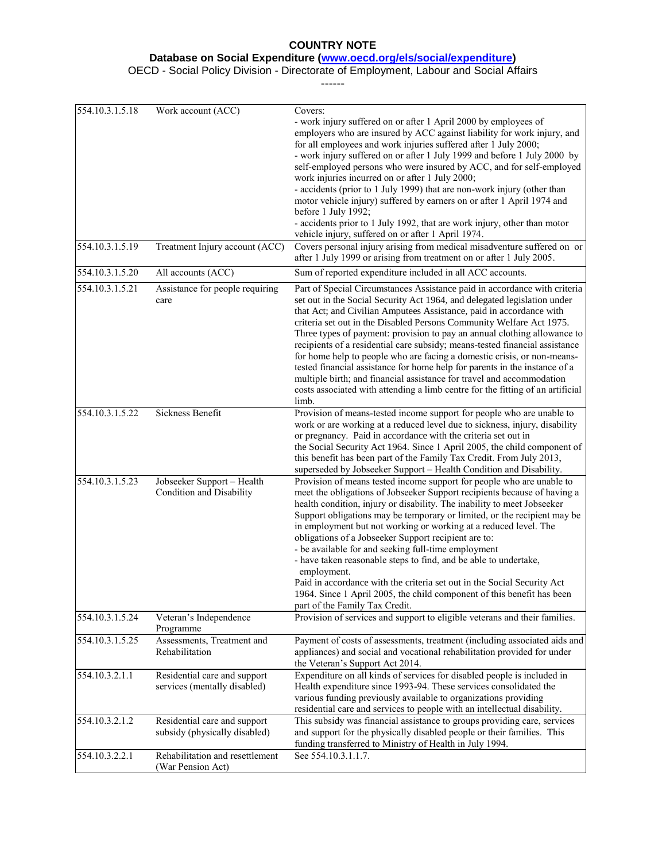**Database on Social Expenditure [\(www.oecd.org/els/social/expenditure\)](http://www.oecd.org/els/social/expenditure/SOCX)**

OECD - Social Policy Division - Directorate of Employment, Labour and Social Affairs

| 554.10.3.1.5.18 | Work account (ACC)                                            | Covers:<br>- work injury suffered on or after 1 April 2000 by employees of<br>employers who are insured by ACC against liability for work injury, and<br>for all employees and work injuries suffered after 1 July 2000;<br>- work injury suffered on or after 1 July 1999 and before 1 July 2000 by<br>self-employed persons who were insured by ACC, and for self-employed<br>work injuries incurred on or after 1 July 2000;<br>- accidents (prior to 1 July 1999) that are non-work injury (other than<br>motor vehicle injury) suffered by earners on or after 1 April 1974 and<br>before 1 July 1992;<br>- accidents prior to 1 July 1992, that are work injury, other than motor                                                                                                      |
|-----------------|---------------------------------------------------------------|----------------------------------------------------------------------------------------------------------------------------------------------------------------------------------------------------------------------------------------------------------------------------------------------------------------------------------------------------------------------------------------------------------------------------------------------------------------------------------------------------------------------------------------------------------------------------------------------------------------------------------------------------------------------------------------------------------------------------------------------------------------------------------------------|
| 554.10.3.1.5.19 | Treatment Injury account (ACC)                                | vehicle injury, suffered on or after 1 April 1974.<br>Covers personal injury arising from medical misadventure suffered on or<br>after 1 July 1999 or arising from treatment on or after 1 July 2005.                                                                                                                                                                                                                                                                                                                                                                                                                                                                                                                                                                                        |
| 554.10.3.1.5.20 | All accounts (ACC)                                            | Sum of reported expenditure included in all ACC accounts.                                                                                                                                                                                                                                                                                                                                                                                                                                                                                                                                                                                                                                                                                                                                    |
| 554.10.3.1.5.21 | Assistance for people requiring<br>care                       | Part of Special Circumstances Assistance paid in accordance with criteria<br>set out in the Social Security Act 1964, and delegated legislation under<br>that Act; and Civilian Amputees Assistance, paid in accordance with<br>criteria set out in the Disabled Persons Community Welfare Act 1975.<br>Three types of payment: provision to pay an annual clothing allowance to<br>recipients of a residential care subsidy; means-tested financial assistance<br>for home help to people who are facing a domestic crisis, or non-means-<br>tested financial assistance for home help for parents in the instance of a<br>multiple birth; and financial assistance for travel and accommodation<br>costs associated with attending a limb centre for the fitting of an artificial<br>limb. |
| 554.10.3.1.5.22 | Sickness Benefit                                              | Provision of means-tested income support for people who are unable to<br>work or are working at a reduced level due to sickness, injury, disability<br>or pregnancy. Paid in accordance with the criteria set out in<br>the Social Security Act 1964. Since 1 April 2005, the child component of<br>this benefit has been part of the Family Tax Credit. From July 2013,<br>superseded by Jobseeker Support - Health Condition and Disability.                                                                                                                                                                                                                                                                                                                                               |
| 554.10.3.1.5.23 | Jobseeker Support - Health<br>Condition and Disability        | Provision of means tested income support for people who are unable to<br>meet the obligations of Jobseeker Support recipients because of having a<br>health condition, injury or disability. The inability to meet Jobseeker<br>Support obligations may be temporary or limited, or the recipient may be<br>in employment but not working or working at a reduced level. The<br>obligations of a Jobseeker Support recipient are to:<br>- be available for and seeking full-time employment<br>- have taken reasonable steps to find, and be able to undertake,<br>employment.<br>Paid in accordance with the criteria set out in the Social Security Act<br>1964. Since 1 April 2005, the child component of this benefit has been<br>part of the Family Tax Credit.                        |
| 554.10.3.1.5.24 | Veteran's Independence<br>Programme                           | Provision of services and support to eligible veterans and their families.                                                                                                                                                                                                                                                                                                                                                                                                                                                                                                                                                                                                                                                                                                                   |
| 554.10.3.1.5.25 | Assessments, Treatment and<br>Rehabilitation                  | Payment of costs of assessments, treatment (including associated aids and<br>appliances) and social and vocational rehabilitation provided for under<br>the Veteran's Support Act 2014.                                                                                                                                                                                                                                                                                                                                                                                                                                                                                                                                                                                                      |
| 554.10.3.2.1.1  | Residential care and support<br>services (mentally disabled)  | Expenditure on all kinds of services for disabled people is included in<br>Health expenditure since 1993-94. These services consolidated the<br>various funding previously available to organizations providing<br>residential care and services to people with an intellectual disability.                                                                                                                                                                                                                                                                                                                                                                                                                                                                                                  |
| 554.10.3.2.1.2  | Residential care and support<br>subsidy (physically disabled) | This subsidy was financial assistance to groups providing care, services<br>and support for the physically disabled people or their families. This<br>funding transferred to Ministry of Health in July 1994.                                                                                                                                                                                                                                                                                                                                                                                                                                                                                                                                                                                |
| 554.10.3.2.2.1  | Rehabilitation and resettlement<br>(War Pension Act)          | See 554.10.3.1.1.7.                                                                                                                                                                                                                                                                                                                                                                                                                                                                                                                                                                                                                                                                                                                                                                          |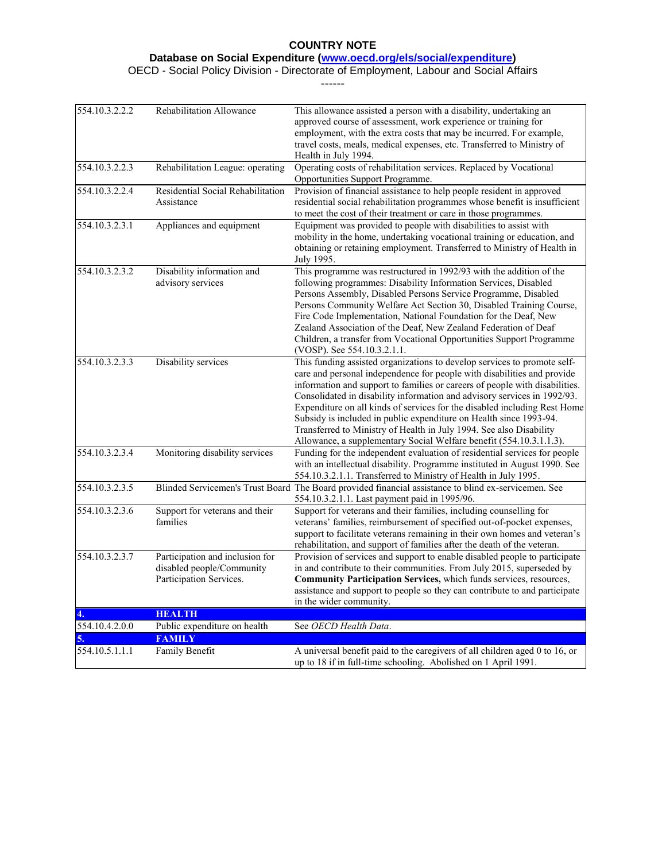#### **Database on Social Expenditure [\(www.oecd.org/els/social/expenditure\)](http://www.oecd.org/els/social/expenditure/SOCX)**

| 554.10.3.2.2.2 | Rehabilitation Allowance                                                                | This allowance assisted a person with a disability, undertaking an<br>approved course of assessment, work experience or training for<br>employment, with the extra costs that may be incurred. For example,<br>travel costs, meals, medical expenses, etc. Transferred to Ministry of<br>Health in July 1994.                                                                                                                                                                                                                                                                                                   |
|----------------|-----------------------------------------------------------------------------------------|-----------------------------------------------------------------------------------------------------------------------------------------------------------------------------------------------------------------------------------------------------------------------------------------------------------------------------------------------------------------------------------------------------------------------------------------------------------------------------------------------------------------------------------------------------------------------------------------------------------------|
| 554.10.3.2.2.3 | Rehabilitation League: operating                                                        | Operating costs of rehabilitation services. Replaced by Vocational<br>Opportunities Support Programme.                                                                                                                                                                                                                                                                                                                                                                                                                                                                                                          |
| 554.10.3.2.2.4 | Residential Social Rehabilitation<br>Assistance                                         | Provision of financial assistance to help people resident in approved<br>residential social rehabilitation programmes whose benefit is insufficient<br>to meet the cost of their treatment or care in those programmes.                                                                                                                                                                                                                                                                                                                                                                                         |
| 554.10.3.2.3.1 | Appliances and equipment                                                                | Equipment was provided to people with disabilities to assist with<br>mobility in the home, undertaking vocational training or education, and<br>obtaining or retaining employment. Transferred to Ministry of Health in<br>July 1995.                                                                                                                                                                                                                                                                                                                                                                           |
| 554.10.3.2.3.2 | Disability information and<br>advisory services                                         | This programme was restructured in 1992/93 with the addition of the<br>following programmes: Disability Information Services, Disabled<br>Persons Assembly, Disabled Persons Service Programme, Disabled<br>Persons Community Welfare Act Section 30, Disabled Training Course,<br>Fire Code Implementation, National Foundation for the Deaf, New<br>Zealand Association of the Deaf, New Zealand Federation of Deaf<br>Children, a transfer from Vocational Opportunities Support Programme<br>(VOSP). See 554.10.3.2.1.1.                                                                                    |
| 554.10.3.2.3.3 | Disability services                                                                     | This funding assisted organizations to develop services to promote self-<br>care and personal independence for people with disabilities and provide<br>information and support to families or careers of people with disabilities.<br>Consolidated in disability information and advisory services in 1992/93.<br>Expenditure on all kinds of services for the disabled including Rest Home<br>Subsidy is included in public expenditure on Health since 1993-94.<br>Transferred to Ministry of Health in July 1994. See also Disability<br>Allowance, a supplementary Social Welfare benefit (554.10.3.1.1.3). |
| 554.10.3.2.3.4 | Monitoring disability services                                                          | Funding for the independent evaluation of residential services for people<br>with an intellectual disability. Programme instituted in August 1990. See<br>554.10.3.2.1.1. Transferred to Ministry of Health in July 1995.                                                                                                                                                                                                                                                                                                                                                                                       |
| 554.10.3.2.3.5 |                                                                                         | Blinded Servicemen's Trust Board The Board provided financial assistance to blind ex-servicemen. See<br>554.10.3.2.1.1. Last payment paid in 1995/96.                                                                                                                                                                                                                                                                                                                                                                                                                                                           |
| 554.10.3.2.3.6 | Support for veterans and their<br>families                                              | Support for veterans and their families, including counselling for<br>veterans' families, reimbursement of specified out-of-pocket expenses,<br>support to facilitate veterans remaining in their own homes and veteran's<br>rehabilitation, and support of families after the death of the veteran.                                                                                                                                                                                                                                                                                                            |
| 554.10.3.2.3.7 | Participation and inclusion for<br>disabled people/Community<br>Participation Services. | Provision of services and support to enable disabled people to participate<br>in and contribute to their communities. From July 2015, superseded by<br><b>Community Participation Services, which funds services, resources,</b><br>assistance and support to people so they can contribute to and participate<br>in the wider community.                                                                                                                                                                                                                                                                       |
|                | <b>HEALTH</b>                                                                           |                                                                                                                                                                                                                                                                                                                                                                                                                                                                                                                                                                                                                 |
| 554.10.4.2.0.0 | Public expenditure on health                                                            | See OECD Health Data.                                                                                                                                                                                                                                                                                                                                                                                                                                                                                                                                                                                           |
| 5.             | <b>FAMILY</b>                                                                           |                                                                                                                                                                                                                                                                                                                                                                                                                                                                                                                                                                                                                 |
| 554.10.5.1.1.1 | Family Benefit                                                                          | A universal benefit paid to the caregivers of all children aged 0 to 16, or<br>up to 18 if in full-time schooling. Abolished on 1 April 1991.                                                                                                                                                                                                                                                                                                                                                                                                                                                                   |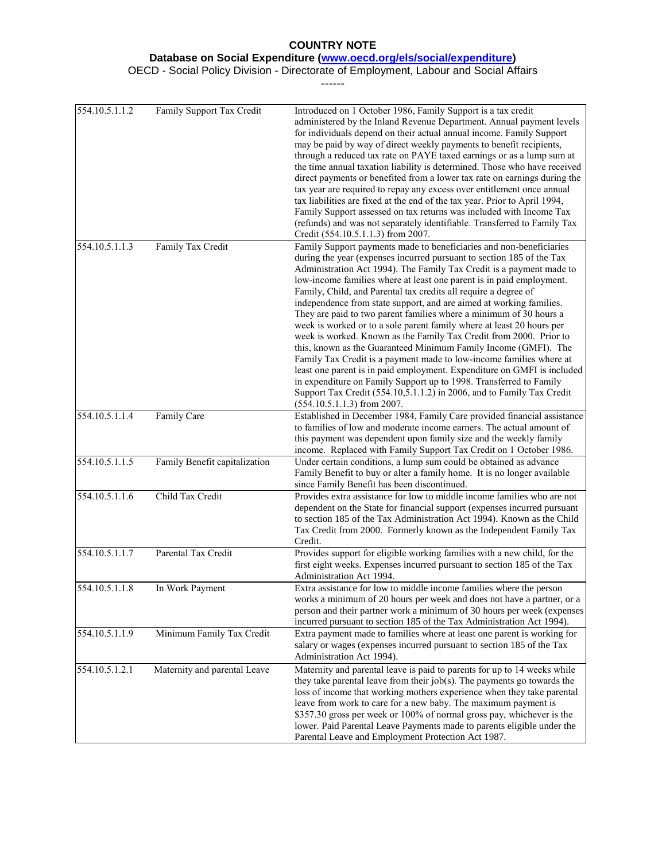**Database on Social Expenditure [\(www.oecd.org/els/social/expenditure\)](http://www.oecd.org/els/social/expenditure/SOCX)**

OECD - Social Policy Division - Directorate of Employment, Labour and Social Affairs

| 554.10.5.1.1.2              | Family Support Tax Credit     | Introduced on 1 October 1986, Family Support is a tax credit<br>administered by the Inland Revenue Department. Annual payment levels<br>for individuals depend on their actual annual income. Family Support<br>may be paid by way of direct weekly payments to benefit recipients,<br>through a reduced tax rate on PAYE taxed earnings or as a lump sum at<br>the time annual taxation liability is determined. Those who have received<br>direct payments or benefited from a lower tax rate on earnings during the<br>tax year are required to repay any excess over entitlement once annual<br>tax liabilities are fixed at the end of the tax year. Prior to April 1994,<br>Family Support assessed on tax returns was included with Income Tax<br>(refunds) and was not separately identifiable. Transferred to Family Tax<br>Credit (554.10.5.1.1.3) from 2007.                                                                                                                                                                                          |
|-----------------------------|-------------------------------|------------------------------------------------------------------------------------------------------------------------------------------------------------------------------------------------------------------------------------------------------------------------------------------------------------------------------------------------------------------------------------------------------------------------------------------------------------------------------------------------------------------------------------------------------------------------------------------------------------------------------------------------------------------------------------------------------------------------------------------------------------------------------------------------------------------------------------------------------------------------------------------------------------------------------------------------------------------------------------------------------------------------------------------------------------------|
| 554.10.5.1.1.3              | Family Tax Credit             | Family Support payments made to beneficiaries and non-beneficiaries<br>during the year (expenses incurred pursuant to section 185 of the Tax<br>Administration Act 1994). The Family Tax Credit is a payment made to<br>low-income families where at least one parent is in paid employment.<br>Family, Child, and Parental tax credits all require a degree of<br>independence from state support, and are aimed at working families.<br>They are paid to two parent families where a minimum of 30 hours a<br>week is worked or to a sole parent family where at least 20 hours per<br>week is worked. Known as the Family Tax Credit from 2000. Prior to<br>this, known as the Guaranteed Minimum Family Income (GMFI). The<br>Family Tax Credit is a payment made to low-income families where at<br>least one parent is in paid employment. Expenditure on GMFI is included<br>in expenditure on Family Support up to 1998. Transferred to Family<br>Support Tax Credit (554.10,5.1.1.2) in 2006, and to Family Tax Credit<br>$(554.10.5.1.1.3)$ from 2007. |
| 554.10.5.1.1.4              | Family Care                   | Established in December 1984, Family Care provided financial assistance<br>to families of low and moderate income earners. The actual amount of<br>this payment was dependent upon family size and the weekly family<br>income. Replaced with Family Support Tax Credit on 1 October 1986.                                                                                                                                                                                                                                                                                                                                                                                                                                                                                                                                                                                                                                                                                                                                                                       |
| $554.10.5.1.\overline{1.5}$ | Family Benefit capitalization | Under certain conditions, a lump sum could be obtained as advance<br>Family Benefit to buy or alter a family home. It is no longer available<br>since Family Benefit has been discontinued.                                                                                                                                                                                                                                                                                                                                                                                                                                                                                                                                                                                                                                                                                                                                                                                                                                                                      |
| 554.10.5.1.1.6              | Child Tax Credit              | Provides extra assistance for low to middle income families who are not<br>dependent on the State for financial support (expenses incurred pursuant<br>to section 185 of the Tax Administration Act 1994). Known as the Child<br>Tax Credit from 2000. Formerly known as the Independent Family Tax<br>Credit.                                                                                                                                                                                                                                                                                                                                                                                                                                                                                                                                                                                                                                                                                                                                                   |
| 554.10.5.1.1.7              | Parental Tax Credit           | Provides support for eligible working families with a new child, for the<br>first eight weeks. Expenses incurred pursuant to section 185 of the Tax<br>Administration Act 1994.                                                                                                                                                                                                                                                                                                                                                                                                                                                                                                                                                                                                                                                                                                                                                                                                                                                                                  |
| 554.10.5.1.1.8              | In Work Payment               | Extra assistance for low to middle income families where the person<br>works a minimum of 20 hours per week and does not have a partner, or a<br>person and their partner work a minimum of 30 hours per week (expenses<br>incurred pursuant to section 185 of the Tax Administration Act 1994).                                                                                                                                                                                                                                                                                                                                                                                                                                                                                                                                                                                                                                                                                                                                                                 |
| 554.10.5.1.1.9              | Minimum Family Tax Credit     | Extra payment made to families where at least one parent is working for<br>salary or wages (expenses incurred pursuant to section 185 of the Tax<br>Administration Act 1994).                                                                                                                                                                                                                                                                                                                                                                                                                                                                                                                                                                                                                                                                                                                                                                                                                                                                                    |
| 554.10.5.1.2.1              | Maternity and parental Leave  | Maternity and parental leave is paid to parents for up to 14 weeks while<br>they take parental leave from their job(s). The payments go towards the<br>loss of income that working mothers experience when they take parental<br>leave from work to care for a new baby. The maximum payment is<br>\$357.30 gross per week or 100% of normal gross pay, whichever is the<br>lower. Paid Parental Leave Payments made to parents eligible under the<br>Parental Leave and Employment Protection Act 1987.                                                                                                                                                                                                                                                                                                                                                                                                                                                                                                                                                         |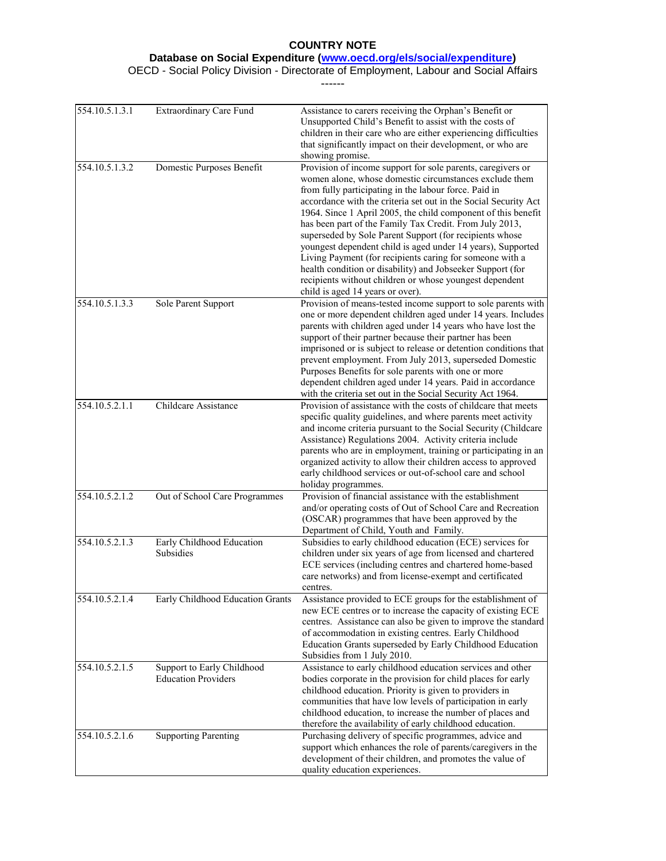#### **Database on Social Expenditure [\(www.oecd.org/els/social/expenditure\)](http://www.oecd.org/els/social/expenditure/SOCX)**

OECD - Social Policy Division - Directorate of Employment, Labour and Social Affairs

| 554.10.5.1.3.1 | Extraordinary Care Fund                                  | Assistance to carers receiving the Orphan's Benefit or<br>Unsupported Child's Benefit to assist with the costs of<br>children in their care who are either experiencing difficulties<br>that significantly impact on their development, or who are<br>showing promise.                                                                                                                                                                                                                                                                                                                                                                                                                                                           |
|----------------|----------------------------------------------------------|----------------------------------------------------------------------------------------------------------------------------------------------------------------------------------------------------------------------------------------------------------------------------------------------------------------------------------------------------------------------------------------------------------------------------------------------------------------------------------------------------------------------------------------------------------------------------------------------------------------------------------------------------------------------------------------------------------------------------------|
| 554.10.5.1.3.2 | Domestic Purposes Benefit                                | Provision of income support for sole parents, caregivers or<br>women alone, whose domestic circumstances exclude them<br>from fully participating in the labour force. Paid in<br>accordance with the criteria set out in the Social Security Act<br>1964. Since 1 April 2005, the child component of this benefit<br>has been part of the Family Tax Credit. From July 2013,<br>superseded by Sole Parent Support (for recipients whose<br>youngest dependent child is aged under 14 years), Supported<br>Living Payment (for recipients caring for someone with a<br>health condition or disability) and Jobseeker Support (for<br>recipients without children or whose youngest dependent<br>child is aged 14 years or over). |
| 554.10.5.1.3.3 | Sole Parent Support                                      | Provision of means-tested income support to sole parents with<br>one or more dependent children aged under 14 years. Includes<br>parents with children aged under 14 years who have lost the<br>support of their partner because their partner has been<br>imprisoned or is subject to release or detention conditions that<br>prevent employment. From July 2013, superseded Domestic<br>Purposes Benefits for sole parents with one or more<br>dependent children aged under 14 years. Paid in accordance<br>with the criteria set out in the Social Security Act 1964.                                                                                                                                                        |
| 554.10.5.2.1.1 | Childcare Assistance                                     | Provision of assistance with the costs of childcare that meets<br>specific quality guidelines, and where parents meet activity<br>and income criteria pursuant to the Social Security (Childcare<br>Assistance) Regulations 2004. Activity criteria include<br>parents who are in employment, training or participating in an<br>organized activity to allow their children access to approved<br>early childhood services or out-of-school care and school<br>holiday programmes.                                                                                                                                                                                                                                               |
| 554.10.5.2.1.2 | Out of School Care Programmes                            | Provision of financial assistance with the establishment<br>and/or operating costs of Out of School Care and Recreation<br>(OSCAR) programmes that have been approved by the<br>Department of Child, Youth and Family.                                                                                                                                                                                                                                                                                                                                                                                                                                                                                                           |
| 554.10.5.2.1.3 | Early Childhood Education<br>Subsidies                   | Subsidies to early childhood education (ECE) services for<br>children under six years of age from licensed and chartered<br>ECE services (including centres and chartered home-based<br>care networks) and from license-exempt and certificated<br>centres.                                                                                                                                                                                                                                                                                                                                                                                                                                                                      |
| 554.10.5.2.1.4 | Early Childhood Education Grants                         | Assistance provided to ECE groups for the establishment of<br>new ECE centres or to increase the capacity of existing ECE<br>centres. Assistance can also be given to improve the standard<br>of accommodation in existing centres. Early Childhood<br>Education Grants superseded by Early Childhood Education<br>Subsidies from 1 July 2010.                                                                                                                                                                                                                                                                                                                                                                                   |
| 554.10.5.2.1.5 | Support to Early Childhood<br><b>Education Providers</b> | Assistance to early childhood education services and other<br>bodies corporate in the provision for child places for early<br>childhood education. Priority is given to providers in<br>communities that have low levels of participation in early<br>childhood education, to increase the number of places and<br>therefore the availability of early childhood education.                                                                                                                                                                                                                                                                                                                                                      |
| 554.10.5.2.1.6 | <b>Supporting Parenting</b>                              | Purchasing delivery of specific programmes, advice and<br>support which enhances the role of parents/caregivers in the<br>development of their children, and promotes the value of<br>quality education experiences.                                                                                                                                                                                                                                                                                                                                                                                                                                                                                                             |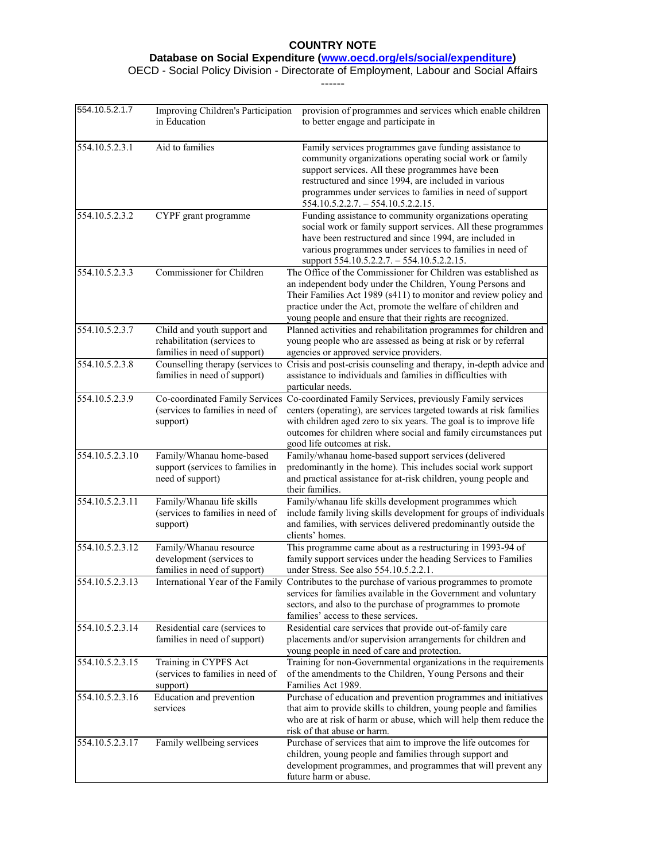#### **Database on Social Expenditure [\(www.oecd.org/els/social/expenditure\)](http://www.oecd.org/els/social/expenditure/SOCX)**

OECD - Social Policy Division - Directorate of Employment, Labour and Social Affairs

| 554.10.5.2.1.7  | Improving Children's Participation<br>in Education                                         | provision of programmes and services which enable children<br>to better engage and participate in                                                                                                                                                                                                                                       |
|-----------------|--------------------------------------------------------------------------------------------|-----------------------------------------------------------------------------------------------------------------------------------------------------------------------------------------------------------------------------------------------------------------------------------------------------------------------------------------|
| 554.10.5.2.3.1  | Aid to families                                                                            | Family services programmes gave funding assistance to<br>community organizations operating social work or family<br>support services. All these programmes have been<br>restructured and since 1994, are included in various<br>programmes under services to families in need of support<br>$554.10.5.2.2.7. - 554.10.5.2.2.15.$        |
| 554.10.5.2.3.2  | CYPF grant programme                                                                       | Funding assistance to community organizations operating<br>social work or family support services. All these programmes<br>have been restructured and since 1994, are included in<br>various programmes under services to families in need of<br>support 554.10.5.2.2.7. - 554.10.5.2.2.15.                                             |
| 554.10.5.2.3.3  | Commissioner for Children                                                                  | The Office of the Commissioner for Children was established as<br>an independent body under the Children, Young Persons and<br>Their Families Act 1989 (s411) to monitor and review policy and<br>practice under the Act, promote the welfare of children and<br>young people and ensure that their rights are recognized.              |
| 554.10.5.2.3.7  | Child and youth support and<br>rehabilitation (services to<br>families in need of support) | Planned activities and rehabilitation programmes for children and<br>young people who are assessed as being at risk or by referral<br>agencies or approved service providers.                                                                                                                                                           |
| 554.10.5.2.3.8  | families in need of support)                                                               | Counselling therapy (services to Crisis and post-crisis counseling and therapy, in-depth advice and<br>assistance to individuals and families in difficulties with<br>particular needs.                                                                                                                                                 |
| 554.10.5.2.3.9  | (services to families in need of<br>support)                                               | Co-coordinated Family Services Co-coordinated Family Services, previously Family services<br>centers (operating), are services targeted towards at risk families<br>with children aged zero to six years. The goal is to improve life<br>outcomes for children where social and family circumstances put<br>good life outcomes at risk. |
| 554.10.5.2.3.10 | Family/Whanau home-based<br>support (services to families in<br>need of support)           | Family/whanau home-based support services (delivered<br>predominantly in the home). This includes social work support<br>and practical assistance for at-risk children, young people and<br>their families.                                                                                                                             |
| 554.10.5.2.3.11 | Family/Whanau life skills<br>(services to families in need of<br>support)                  | Family/whanau life skills development programmes which<br>include family living skills development for groups of individuals<br>and families, with services delivered predominantly outside the<br>clients' homes.                                                                                                                      |
| 554.10.5.2.3.12 | Family/Whanau resource<br>development (services to<br>families in need of support)         | This programme came about as a restructuring in 1993-94 of<br>family support services under the heading Services to Families<br>under Stress. See also 554.10.5.2.2.1.                                                                                                                                                                  |
| 554.10.5.2.3.13 |                                                                                            | International Year of the Family Contributes to the purchase of various programmes to promote<br>services for families available in the Government and voluntary<br>sectors, and also to the purchase of programmes to promote<br>families' access to these services.                                                                   |
| 554.10.5.2.3.14 | Residential care (services to<br>families in need of support)                              | Residential care services that provide out-of-family care<br>placements and/or supervision arrangements for children and<br>young people in need of care and protection.                                                                                                                                                                |
| 554.10.5.2.3.15 | Training in CYPFS Act<br>(services to families in need of<br>support)                      | Training for non-Governmental organizations in the requirements<br>of the amendments to the Children, Young Persons and their<br>Families Act 1989.                                                                                                                                                                                     |
| 554.10.5.2.3.16 | Education and prevention<br>services                                                       | Purchase of education and prevention programmes and initiatives<br>that aim to provide skills to children, young people and families<br>who are at risk of harm or abuse, which will help them reduce the<br>risk of that abuse or harm.                                                                                                |
| 554.10.5.2.3.17 | Family wellbeing services                                                                  | Purchase of services that aim to improve the life outcomes for<br>children, young people and families through support and<br>development programmes, and programmes that will prevent any<br>future harm or abuse.                                                                                                                      |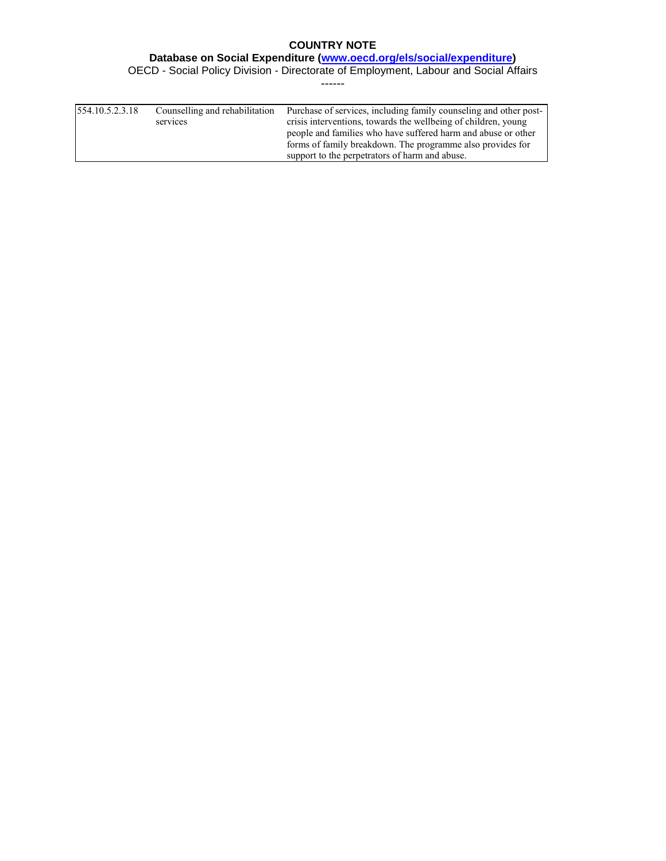**Database on Social Expenditure [\(www.oecd.org/els/social/expenditure\)](http://www.oecd.org/els/social/expenditure/SOCX)**

| 554.10.5.2.3.18 | Counselling and rehabilitation | Purchase of services, including family counseling and other post- |
|-----------------|--------------------------------|-------------------------------------------------------------------|
|                 | services                       | crisis interventions, towards the wellbeing of children, young    |
|                 |                                | people and families who have suffered harm and abuse or other     |
|                 |                                | forms of family breakdown. The programme also provides for        |
|                 |                                | support to the perpetrators of harm and abuse.                    |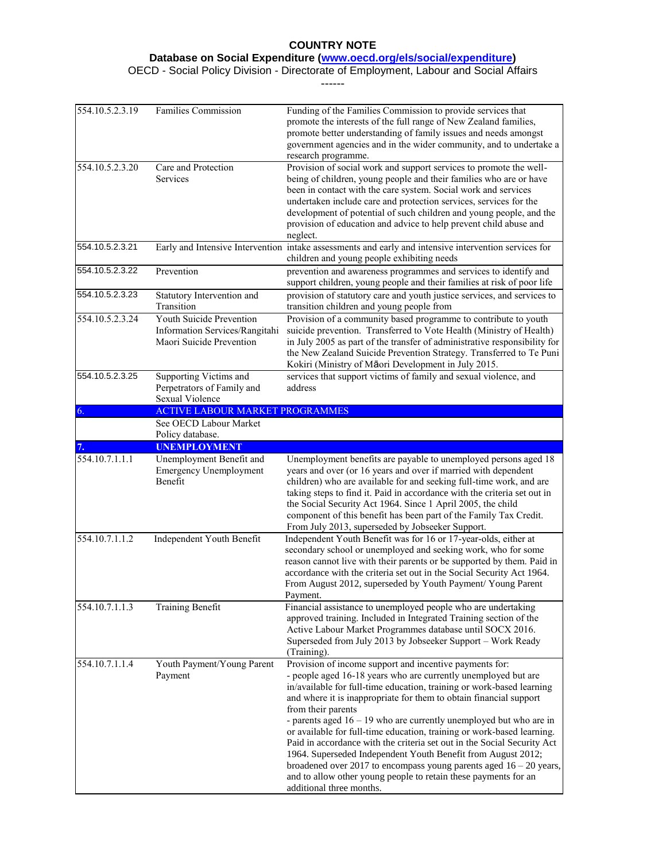#### **Database on Social Expenditure [\(www.oecd.org/els/social/expenditure\)](http://www.oecd.org/els/social/expenditure/SOCX)**

| 554.10.5.2.3.19 | Families Commission                                                                    | Funding of the Families Commission to provide services that<br>promote the interests of the full range of New Zealand families,<br>promote better understanding of family issues and needs amongst<br>government agencies and in the wider community, and to undertake a                                                                                                                                                                                                                                                                                                                                                                                                                                                                                           |
|-----------------|----------------------------------------------------------------------------------------|--------------------------------------------------------------------------------------------------------------------------------------------------------------------------------------------------------------------------------------------------------------------------------------------------------------------------------------------------------------------------------------------------------------------------------------------------------------------------------------------------------------------------------------------------------------------------------------------------------------------------------------------------------------------------------------------------------------------------------------------------------------------|
|                 |                                                                                        | research programme.                                                                                                                                                                                                                                                                                                                                                                                                                                                                                                                                                                                                                                                                                                                                                |
| 554.10.5.2.3.20 | Care and Protection<br>Services                                                        | Provision of social work and support services to promote the well-<br>being of children, young people and their families who are or have<br>been in contact with the care system. Social work and services<br>undertaken include care and protection services, services for the<br>development of potential of such children and young people, and the<br>provision of education and advice to help prevent child abuse and<br>neglect.                                                                                                                                                                                                                                                                                                                            |
| 554.10.5.2.3.21 |                                                                                        | Early and Intensive Intervention intake assessments and early and intensive intervention services for<br>children and young people exhibiting needs                                                                                                                                                                                                                                                                                                                                                                                                                                                                                                                                                                                                                |
| 554.10.5.2.3.22 | Prevention                                                                             | prevention and awareness programmes and services to identify and<br>support children, young people and their families at risk of poor life                                                                                                                                                                                                                                                                                                                                                                                                                                                                                                                                                                                                                         |
| 554.10.5.2.3.23 | Statutory Intervention and<br>Transition                                               | provision of statutory care and youth justice services, and services to<br>transition children and young people from                                                                                                                                                                                                                                                                                                                                                                                                                                                                                                                                                                                                                                               |
| 554.10.5.2.3.24 | Youth Suicide Prevention<br>Information Services/Rangitahi<br>Maori Suicide Prevention | Provision of a community based programme to contribute to youth<br>suicide prevention. Transferred to Vote Health (Ministry of Health)<br>in July 2005 as part of the transfer of administrative responsibility for<br>the New Zealand Suicide Prevention Strategy. Transferred to Te Puni<br>Kokiri (Ministry of Māori Development in July 2015.                                                                                                                                                                                                                                                                                                                                                                                                                  |
| 554.10.5.2.3.25 | Supporting Victims and<br>Perpetrators of Family and<br>Sexual Violence                | services that support victims of family and sexual violence, and<br>address                                                                                                                                                                                                                                                                                                                                                                                                                                                                                                                                                                                                                                                                                        |
| 6.              | <b>ACTIVE LABOUR MARKET PROGRAMMES</b>                                                 |                                                                                                                                                                                                                                                                                                                                                                                                                                                                                                                                                                                                                                                                                                                                                                    |
|                 | See OECD Labour Market<br>Policy database.                                             |                                                                                                                                                                                                                                                                                                                                                                                                                                                                                                                                                                                                                                                                                                                                                                    |
|                 | <b>UNEMPLOYMENT</b>                                                                    |                                                                                                                                                                                                                                                                                                                                                                                                                                                                                                                                                                                                                                                                                                                                                                    |
| 554.10.7.1.1.1  | Unemployment Benefit and<br><b>Emergency Unemployment</b><br>Benefit                   | Unemployment benefits are payable to unemployed persons aged 18<br>years and over (or 16 years and over if married with dependent<br>children) who are available for and seeking full-time work, and are<br>taking steps to find it. Paid in accordance with the criteria set out in<br>the Social Security Act 1964. Since 1 April 2005, the child<br>component of this benefit has been part of the Family Tax Credit.<br>From July 2013, superseded by Jobseeker Support.                                                                                                                                                                                                                                                                                       |
| 554.10.7.1.1.2  | Independent Youth Benefit                                                              | Independent Youth Benefit was for 16 or 17-year-olds, either at<br>secondary school or unemployed and seeking work, who for some<br>reason cannot live with their parents or be supported by them. Paid in<br>accordance with the criteria set out in the Social Security Act 1964.<br>From August 2012, superseded by Youth Payment/ Young Parent<br>Payment.                                                                                                                                                                                                                                                                                                                                                                                                     |
| 554.10.7.1.1.3  | <b>Training Benefit</b>                                                                | Financial assistance to unemployed people who are undertaking<br>approved training. Included in Integrated Training section of the<br>Active Labour Market Programmes database until SOCX 2016.<br>Superseded from July 2013 by Jobseeker Support - Work Ready<br>(Training).                                                                                                                                                                                                                                                                                                                                                                                                                                                                                      |
| 554.10.7.1.1.4  | Youth Payment/Young Parent<br>Payment                                                  | Provision of income support and incentive payments for:<br>- people aged 16-18 years who are currently unemployed but are<br>in/available for full-time education, training or work-based learning<br>and where it is inappropriate for them to obtain financial support<br>from their parents<br>- parents aged $16 - 19$ who are currently unemployed but who are in<br>or available for full-time education, training or work-based learning.<br>Paid in accordance with the criteria set out in the Social Security Act<br>1964. Superseded Independent Youth Benefit from August 2012;<br>broadened over 2017 to encompass young parents aged $16 - 20$ years,<br>and to allow other young people to retain these payments for an<br>additional three months. |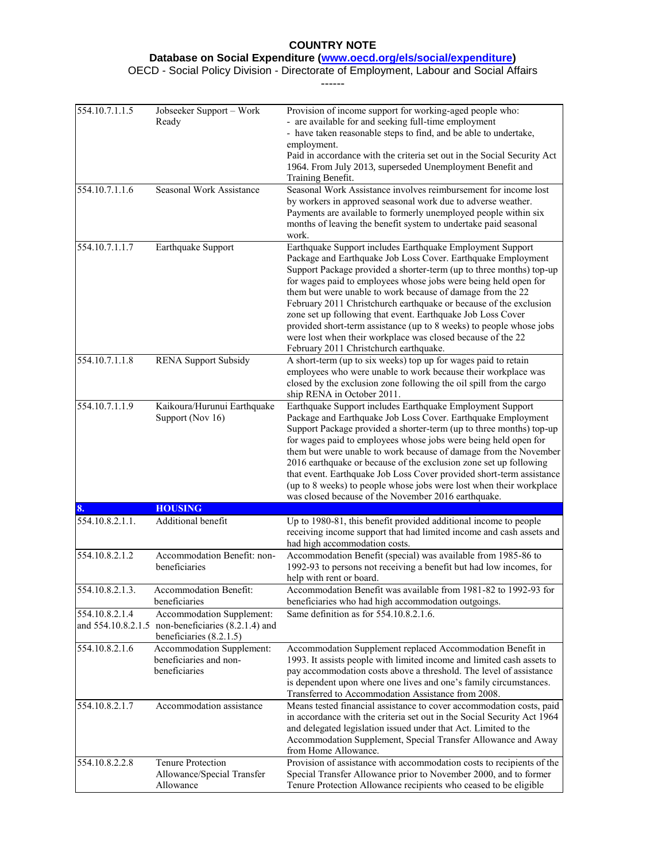**Database on Social Expenditure [\(www.oecd.org/els/social/expenditure\)](http://www.oecd.org/els/social/expenditure/SOCX)**

| 554.10.7.1.1.5  | Jobseeker Support - Work                                                      | Provision of income support for working-aged people who:                                                                            |
|-----------------|-------------------------------------------------------------------------------|-------------------------------------------------------------------------------------------------------------------------------------|
|                 | Ready                                                                         | - are available for and seeking full-time employment                                                                                |
|                 |                                                                               | - have taken reasonable steps to find, and be able to undertake,                                                                    |
|                 |                                                                               | employment.<br>Paid in accordance with the criteria set out in the Social Security Act                                              |
|                 |                                                                               | 1964. From July 2013, superseded Unemployment Benefit and                                                                           |
|                 |                                                                               | Training Benefit.                                                                                                                   |
| 554.10.7.1.1.6  | Seasonal Work Assistance                                                      | Seasonal Work Assistance involves reimbursement for income lost                                                                     |
|                 |                                                                               | by workers in approved seasonal work due to adverse weather.                                                                        |
|                 |                                                                               | Payments are available to formerly unemployed people within six                                                                     |
|                 |                                                                               | months of leaving the benefit system to undertake paid seasonal                                                                     |
|                 |                                                                               | work.                                                                                                                               |
| 554.10.7.1.1.7  | Earthquake Support                                                            | Earthquake Support includes Earthquake Employment Support                                                                           |
|                 |                                                                               | Package and Earthquake Job Loss Cover. Earthquake Employment                                                                        |
|                 |                                                                               | Support Package provided a shorter-term (up to three months) top-up                                                                 |
|                 |                                                                               | for wages paid to employees whose jobs were being held open for<br>them but were unable to work because of damage from the 22       |
|                 |                                                                               | February 2011 Christchurch earthquake or because of the exclusion                                                                   |
|                 |                                                                               | zone set up following that event. Earthquake Job Loss Cover                                                                         |
|                 |                                                                               | provided short-term assistance (up to 8 weeks) to people whose jobs                                                                 |
|                 |                                                                               | were lost when their workplace was closed because of the 22                                                                         |
|                 |                                                                               | February 2011 Christchurch earthquake.                                                                                              |
| 554.10.7.1.1.8  | <b>RENA Support Subsidy</b>                                                   | A short-term (up to six weeks) top up for wages paid to retain                                                                      |
|                 |                                                                               | employees who were unable to work because their workplace was                                                                       |
|                 |                                                                               | closed by the exclusion zone following the oil spill from the cargo                                                                 |
|                 |                                                                               | ship RENA in October 2011.                                                                                                          |
| 554.10.7.1.1.9  | Kaikoura/Hurunui Earthquake                                                   | Earthquake Support includes Earthquake Employment Support                                                                           |
|                 | Support (Nov 16)                                                              | Package and Earthquake Job Loss Cover. Earthquake Employment                                                                        |
|                 |                                                                               | Support Package provided a shorter-term (up to three months) top-up                                                                 |
|                 |                                                                               | for wages paid to employees whose jobs were being held open for<br>them but were unable to work because of damage from the November |
|                 |                                                                               | 2016 earthquake or because of the exclusion zone set up following                                                                   |
|                 |                                                                               | that event. Earthquake Job Loss Cover provided short-term assistance                                                                |
|                 |                                                                               | (up to 8 weeks) to people whose jobs were lost when their workplace                                                                 |
|                 |                                                                               | was closed because of the November 2016 earthquake.                                                                                 |
| 8.              | <b>HOUSING</b>                                                                |                                                                                                                                     |
| 554.10.8.2.1.1. | Additional benefit                                                            | Up to 1980-81, this benefit provided additional income to people                                                                    |
|                 |                                                                               | receiving income support that had limited income and cash assets and                                                                |
|                 |                                                                               | had high accommodation costs.                                                                                                       |
| 554.10.8.2.1.2  | Accommodation Benefit: non-                                                   | Accommodation Benefit (special) was available from 1985-86 to                                                                       |
|                 | beneficiaries                                                                 | 1992-93 to persons not receiving a benefit but had low incomes, for                                                                 |
|                 |                                                                               | help with rent or board.                                                                                                            |
| 554.10.8.2.1.3. | <b>Accommodation Benefit:</b>                                                 | Accommodation Benefit was available from 1981-82 to 1992-93 for                                                                     |
|                 | beneficiaries                                                                 | beneficiaries who had high accommodation outgoings.                                                                                 |
| 554.10.8.2.1.4  | Accommodation Supplement:                                                     | Same definition as for 554.10.8.2.1.6.                                                                                              |
|                 | and 554.10.8.2.1.5 non-beneficiaries (8.2.1.4) and<br>beneficiaries (8.2.1.5) |                                                                                                                                     |
| 554.10.8.2.1.6  | Accommodation Supplement:                                                     | Accommodation Supplement replaced Accommodation Benefit in                                                                          |
|                 | beneficiaries and non-                                                        | 1993. It assists people with limited income and limited cash assets to                                                              |
|                 | beneficiaries                                                                 | pay accommodation costs above a threshold. The level of assistance                                                                  |
|                 |                                                                               | is dependent upon where one lives and one's family circumstances.                                                                   |
|                 |                                                                               | Transferred to Accommodation Assistance from 2008.                                                                                  |
| 554.10.8.2.1.7  | Accommodation assistance                                                      | Means tested financial assistance to cover accommodation costs, paid                                                                |
|                 |                                                                               | in accordance with the criteria set out in the Social Security Act 1964                                                             |
|                 |                                                                               | and delegated legislation issued under that Act. Limited to the                                                                     |
|                 |                                                                               | Accommodation Supplement, Special Transfer Allowance and Away                                                                       |
|                 |                                                                               | from Home Allowance.                                                                                                                |
| 554.10.8.2.2.8  | <b>Tenure Protection</b>                                                      | Provision of assistance with accommodation costs to recipients of the                                                               |
|                 | Allowance/Special Transfer                                                    | Special Transfer Allowance prior to November 2000, and to former                                                                    |
|                 | Allowance                                                                     | Tenure Protection Allowance recipients who ceased to be eligible                                                                    |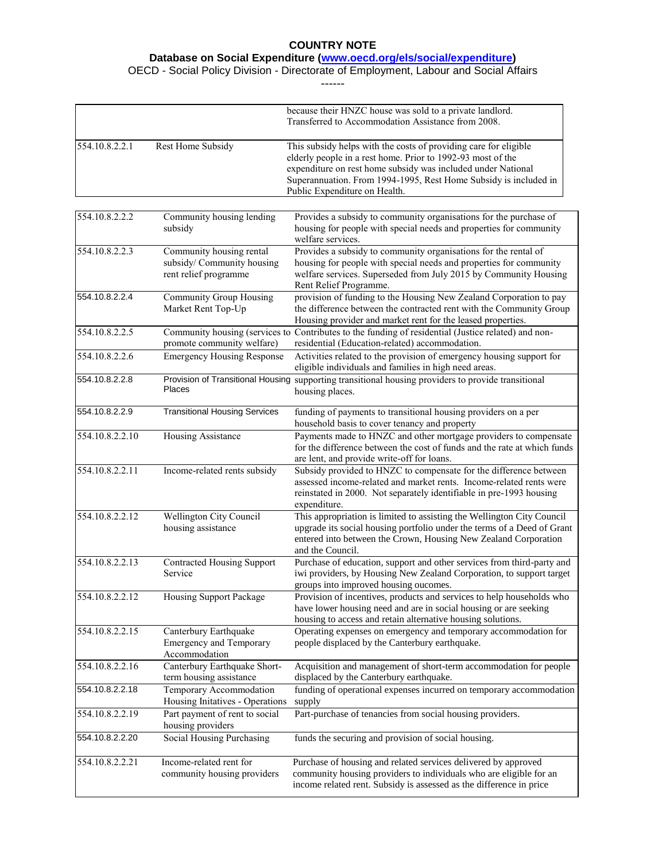#### **Database on Social Expenditure [\(www.oecd.org/els/social/expenditure\)](http://www.oecd.org/els/social/expenditure/SOCX)**

OECD - Social Policy Division - Directorate of Employment, Labour and Social Affairs

|                 |                                                                                 | because their HNZC house was sold to a private landlord.<br>Transferred to Accommodation Assistance from 2008.                                                                                                                                                                                       |
|-----------------|---------------------------------------------------------------------------------|------------------------------------------------------------------------------------------------------------------------------------------------------------------------------------------------------------------------------------------------------------------------------------------------------|
| 554.10.8.2.2.1  | Rest Home Subsidy                                                               | This subsidy helps with the costs of providing care for eligible<br>elderly people in a rest home. Prior to 1992-93 most of the<br>expenditure on rest home subsidy was included under National<br>Superannuation. From 1994-1995, Rest Home Subsidy is included in<br>Public Expenditure on Health. |
|                 |                                                                                 |                                                                                                                                                                                                                                                                                                      |
| 554.10.8.2.2.2  | Community housing lending<br>subsidy                                            | Provides a subsidy to community organisations for the purchase of<br>housing for people with special needs and properties for community<br>welfare services.                                                                                                                                         |
| 554.10.8.2.2.3  | Community housing rental<br>subsidy/ Community housing<br>rent relief programme | Provides a subsidy to community organisations for the rental of<br>housing for people with special needs and properties for community<br>welfare services. Superseded from July 2015 by Community Housing<br>Rent Relief Programme.                                                                  |
| 554.10.8.2.2.4  | Community Group Housing<br>Market Rent Top-Up                                   | provision of funding to the Housing New Zealand Corporation to pay<br>the difference between the contracted rent with the Community Group<br>Housing provider and market rent for the leased properties.                                                                                             |
| 554.10.8.2.2.5  | Community housing (services to<br>promote community welfare)                    | Contributes to the funding of residential (Justice related) and non-<br>residential (Education-related) accommodation.                                                                                                                                                                               |
| 554.10.8.2.2.6  | <b>Emergency Housing Response</b>                                               | Activities related to the provision of emergency housing support for<br>eligible individuals and families in high need areas.                                                                                                                                                                        |
| 554.10.8.2.2.8  | Places                                                                          | Provision of Transitional Housing supporting transitional housing providers to provide transitional<br>housing places.                                                                                                                                                                               |
| 554.10.8.2.2.9  | <b>Transitional Housing Services</b>                                            | funding of payments to transitional housing providers on a per<br>household basis to cover tenancy and property                                                                                                                                                                                      |
| 554.10.8.2.2.10 | Housing Assistance                                                              | Payments made to HNZC and other mortgage providers to compensate<br>for the difference between the cost of funds and the rate at which funds<br>are lent, and provide write-off for loans.                                                                                                           |
| 554.10.8.2.2.11 | Income-related rents subsidy                                                    | Subsidy provided to HNZC to compensate for the difference between<br>assessed income-related and market rents. Income-related rents were<br>reinstated in 2000. Not separately identifiable in pre-1993 housing<br>expenditure.                                                                      |
| 554.10.8.2.2.12 | Wellington City Council<br>housing assistance                                   | This appropriation is limited to assisting the Wellington City Council<br>upgrade its social housing portfolio under the terms of a Deed of Grant<br>entered into between the Crown, Housing New Zealand Corporation<br>and the Council.                                                             |
| 554.10.8.2.2.13 | <b>Contracted Housing Support</b><br>Service                                    | Purchase of education, support and other services from third-party and<br>iwi providers, by Housing New Zealand Corporation, to support target<br>groups into improved housing oucomes.                                                                                                              |
| 554.10.8.2.2.12 | Housing Support Package                                                         | Provision of incentives, products and services to help households who<br>have lower housing need and are in social housing or are seeking<br>housing to access and retain alternative housing solutions.                                                                                             |
| 554.10.8.2.2.15 | Canterbury Earthquake<br><b>Emergency and Temporary</b><br>Accommodation        | Operating expenses on emergency and temporary accommodation for<br>people displaced by the Canterbury earthquake.                                                                                                                                                                                    |
| 554.10.8.2.2.16 | Canterbury Earthquake Short-<br>term housing assistance                         | Acquisition and management of short-term accommodation for people<br>displaced by the Canterbury earthquake.                                                                                                                                                                                         |
| 554.10.8.2.2.18 | Temporary Accommodation<br>Housing Initatives - Operations                      | funding of operational expenses incurred on temporary accommodation<br>supply                                                                                                                                                                                                                        |
| 554.10.8.2.2.19 | Part payment of rent to social<br>housing providers                             | Part-purchase of tenancies from social housing providers.                                                                                                                                                                                                                                            |
| 554.10.8.2.2.20 | Social Housing Purchasing                                                       | funds the securing and provision of social housing.                                                                                                                                                                                                                                                  |
| 554.10.8.2.2.21 | Income-related rent for<br>community housing providers                          | Purchase of housing and related services delivered by approved<br>community housing providers to individuals who are eligible for an<br>income related rent. Subsidy is assessed as the difference in price                                                                                          |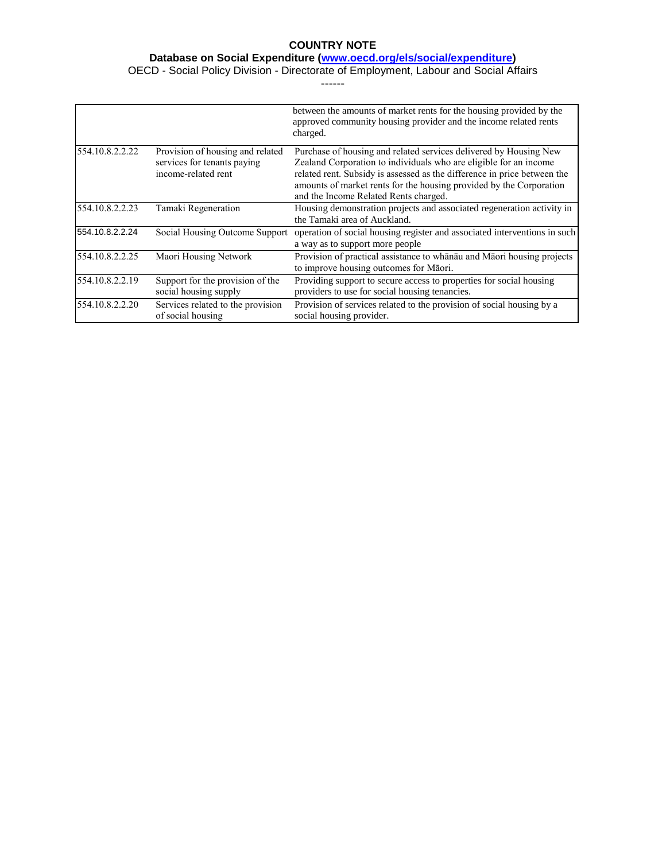#### **Database on Social Expenditure [\(www.oecd.org/els/social/expenditure\)](http://www.oecd.org/els/social/expenditure/SOCX)**

OECD - Social Policy Division - Directorate of Employment, Labour and Social Affairs

|                 |                                                                                        | between the amounts of market rents for the housing provided by the<br>approved community housing provider and the income related rents<br>charged.                                                                                                                                                                                |
|-----------------|----------------------------------------------------------------------------------------|------------------------------------------------------------------------------------------------------------------------------------------------------------------------------------------------------------------------------------------------------------------------------------------------------------------------------------|
| 554.10.8.2.2.22 | Provision of housing and related<br>services for tenants paying<br>income-related rent | Purchase of housing and related services delivered by Housing New<br>Zealand Corporation to individuals who are eligible for an income<br>related rent. Subsidy is assessed as the difference in price between the<br>amounts of market rents for the housing provided by the Corporation<br>and the Income Related Rents charged. |
| 554.10.8.2.2.23 | Tamaki Regeneration                                                                    | Housing demonstration projects and associated regeneration activity in<br>the Tamaki area of Auckland.                                                                                                                                                                                                                             |
| 554.10.8.2.2.24 | Social Housing Outcome Support                                                         | operation of social housing register and associated interventions in such<br>a way as to support more people                                                                                                                                                                                                                       |
| 554.10.8.2.2.25 | Maori Housing Network                                                                  | Provision of practical assistance to whanau and Maori housing projects<br>to improve housing outcomes for Māori.                                                                                                                                                                                                                   |
| 554.10.8.2.2.19 | Support for the provision of the<br>social housing supply                              | Providing support to secure access to properties for social housing<br>providers to use for social housing tenancies.                                                                                                                                                                                                              |
| 554.10.8.2.2.20 | Services related to the provision<br>of social housing                                 | Provision of services related to the provision of social housing by a<br>social housing provider.                                                                                                                                                                                                                                  |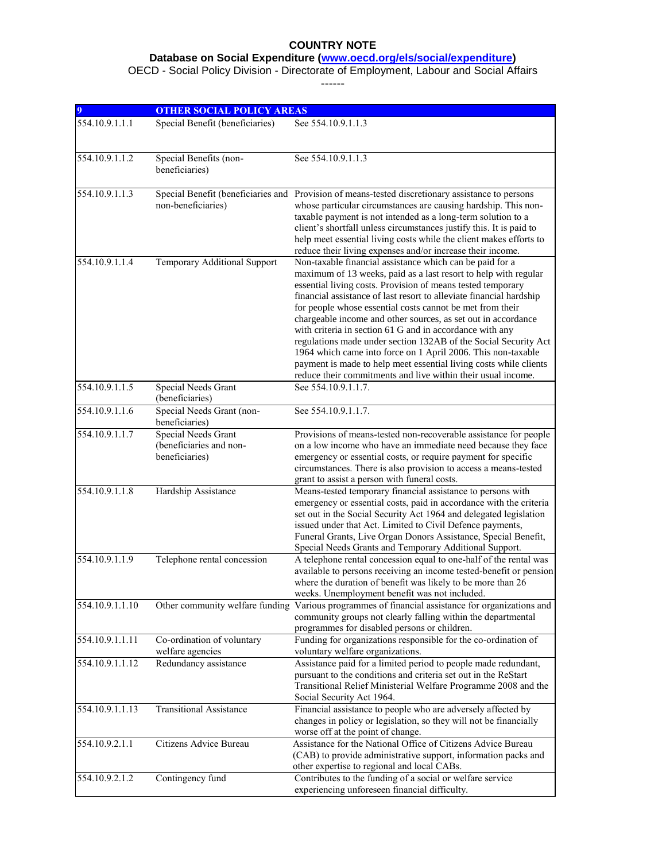#### **Database on Social Expenditure [\(www.oecd.org/els/social/expenditure\)](http://www.oecd.org/els/social/expenditure/SOCX)**

OECD - Social Policy Division - Directorate of Employment, Labour and Social Affairs

| 9               | <b>OTHER SOCIAL POLICY AREAS</b>                                 |                                                                                                                                                                                                                                                                                                                                                                                                                                                                                                                                                                                                                                                                                                                                     |
|-----------------|------------------------------------------------------------------|-------------------------------------------------------------------------------------------------------------------------------------------------------------------------------------------------------------------------------------------------------------------------------------------------------------------------------------------------------------------------------------------------------------------------------------------------------------------------------------------------------------------------------------------------------------------------------------------------------------------------------------------------------------------------------------------------------------------------------------|
| 554.10.9.1.1.1  | Special Benefit (beneficiaries)                                  | See 554.10.9.1.1.3                                                                                                                                                                                                                                                                                                                                                                                                                                                                                                                                                                                                                                                                                                                  |
| 554.10.9.1.1.2  | Special Benefits (non-<br>beneficiaries)                         | See 554.10.9.1.1.3                                                                                                                                                                                                                                                                                                                                                                                                                                                                                                                                                                                                                                                                                                                  |
| 554.10.9.1.1.3  | non-beneficiaries)                                               | Special Benefit (beneficiaries and Provision of means-tested discretionary assistance to persons<br>whose particular circumstances are causing hardship. This non-<br>taxable payment is not intended as a long-term solution to a<br>client's shortfall unless circumstances justify this. It is paid to<br>help meet essential living costs while the client makes efforts to<br>reduce their living expenses and/or increase their income.                                                                                                                                                                                                                                                                                       |
| 554.10.9.1.1.4  | Temporary Additional Support                                     | Non-taxable financial assistance which can be paid for a<br>maximum of 13 weeks, paid as a last resort to help with regular<br>essential living costs. Provision of means tested temporary<br>financial assistance of last resort to alleviate financial hardship<br>for people whose essential costs cannot be met from their<br>chargeable income and other sources, as set out in accordance<br>with criteria in section 61 G and in accordance with any<br>regulations made under section 132AB of the Social Security Act<br>1964 which came into force on 1 April 2006. This non-taxable<br>payment is made to help meet essential living costs while clients<br>reduce their commitments and live within their usual income. |
| 554.10.9.1.1.5  | Special Needs Grant<br>(beneficiaries)                           | See 554.10.9.1.1.7.                                                                                                                                                                                                                                                                                                                                                                                                                                                                                                                                                                                                                                                                                                                 |
| 554.10.9.1.1.6  | Special Needs Grant (non-<br>beneficiaries)                      | See 554, 10.9, 1, 1, 7.                                                                                                                                                                                                                                                                                                                                                                                                                                                                                                                                                                                                                                                                                                             |
| 554.10.9.1.1.7  | Special Needs Grant<br>(beneficiaries and non-<br>beneficiaries) | Provisions of means-tested non-recoverable assistance for people<br>on a low income who have an immediate need because they face<br>emergency or essential costs, or require payment for specific<br>circumstances. There is also provision to access a means-tested<br>grant to assist a person with funeral costs.                                                                                                                                                                                                                                                                                                                                                                                                                |
| 554.10.9.1.1.8  | Hardship Assistance                                              | Means-tested temporary financial assistance to persons with<br>emergency or essential costs, paid in accordance with the criteria<br>set out in the Social Security Act 1964 and delegated legislation<br>issued under that Act. Limited to Civil Defence payments,<br>Funeral Grants, Live Organ Donors Assistance, Special Benefit,<br>Special Needs Grants and Temporary Additional Support.                                                                                                                                                                                                                                                                                                                                     |
| 554.10.9.1.1.9  | Telephone rental concession                                      | A telephone rental concession equal to one-half of the rental was<br>available to persons receiving an income tested-benefit or pension<br>where the duration of benefit was likely to be more than 26<br>weeks. Unemployment benefit was not included.                                                                                                                                                                                                                                                                                                                                                                                                                                                                             |
| 554.10.9.1.1.10 | Other community welfare funding                                  | Various programmes of financial assistance for organizations and<br>community groups not clearly falling within the departmental<br>programmes for disabled persons or children.                                                                                                                                                                                                                                                                                                                                                                                                                                                                                                                                                    |
| 554.10.9.1.1.11 | Co-ordination of voluntary<br>welfare agencies                   | Funding for organizations responsible for the co-ordination of<br>voluntary welfare organizations.                                                                                                                                                                                                                                                                                                                                                                                                                                                                                                                                                                                                                                  |
| 554.10.9.1.1.12 | Redundancy assistance                                            | Assistance paid for a limited period to people made redundant,<br>pursuant to the conditions and criteria set out in the ReStart<br>Transitional Relief Ministerial Welfare Programme 2008 and the<br>Social Security Act 1964.                                                                                                                                                                                                                                                                                                                                                                                                                                                                                                     |
| 554.10.9.1.1.13 | <b>Transitional Assistance</b>                                   | Financial assistance to people who are adversely affected by<br>changes in policy or legislation, so they will not be financially<br>worse off at the point of change.                                                                                                                                                                                                                                                                                                                                                                                                                                                                                                                                                              |
| 554.10.9.2.1.1  | Citizens Advice Bureau                                           | Assistance for the National Office of Citizens Advice Bureau<br>(CAB) to provide administrative support, information packs and<br>other expertise to regional and local CABs.                                                                                                                                                                                                                                                                                                                                                                                                                                                                                                                                                       |
| 554.10.9.2.1.2  | Contingency fund                                                 | Contributes to the funding of a social or welfare service<br>experiencing unforeseen financial difficulty.                                                                                                                                                                                                                                                                                                                                                                                                                                                                                                                                                                                                                          |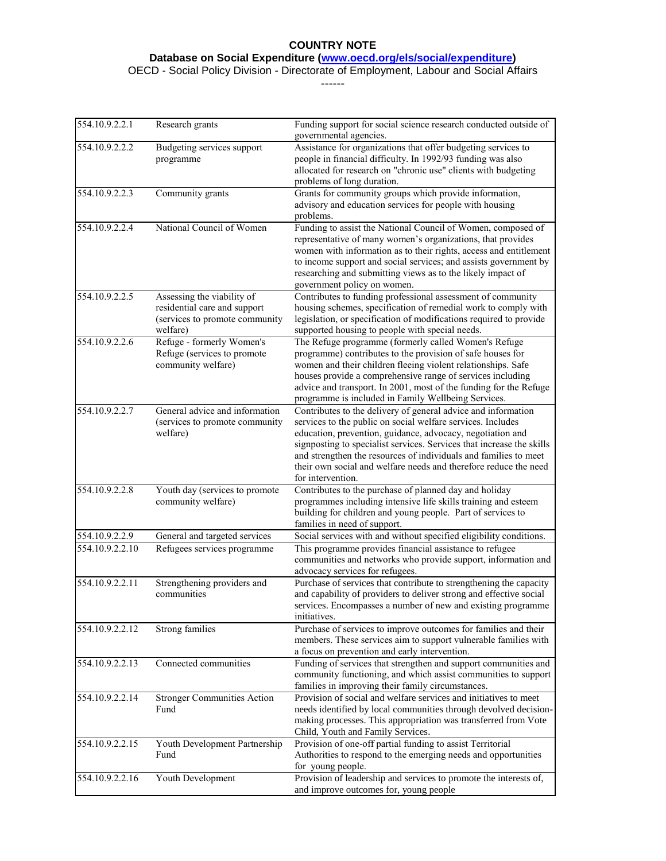#### **Database on Social Expenditure [\(www.oecd.org/els/social/expenditure\)](http://www.oecd.org/els/social/expenditure/SOCX)**

OECD - Social Policy Division - Directorate of Employment, Labour and Social Affairs

| 554.10.9.2.2.1  | Research grants                                                                                          | Funding support for social science research conducted outside of<br>governmental agencies.                                                                                                                                                                                                                                                                                                                                       |
|-----------------|----------------------------------------------------------------------------------------------------------|----------------------------------------------------------------------------------------------------------------------------------------------------------------------------------------------------------------------------------------------------------------------------------------------------------------------------------------------------------------------------------------------------------------------------------|
| 554.10.9.2.2.2  | Budgeting services support<br>programme                                                                  | Assistance for organizations that offer budgeting services to<br>people in financial difficulty. In 1992/93 funding was also<br>allocated for research on "chronic use" clients with budgeting<br>problems of long duration.                                                                                                                                                                                                     |
| 554.10.9.2.2.3  | Community grants                                                                                         | Grants for community groups which provide information,<br>advisory and education services for people with housing<br>problems.                                                                                                                                                                                                                                                                                                   |
| 554.10.9.2.2.4  | National Council of Women                                                                                | Funding to assist the National Council of Women, composed of<br>representative of many women's organizations, that provides<br>women with information as to their rights, access and entitlement<br>to income support and social services; and assists government by<br>researching and submitting views as to the likely impact of<br>government policy on women.                                                               |
| 554.10.9.2.2.5  | Assessing the viability of<br>residential care and support<br>(services to promote community<br>welfare) | Contributes to funding professional assessment of community<br>housing schemes, specification of remedial work to comply with<br>legislation, or specification of modifications required to provide<br>supported housing to people with special needs.                                                                                                                                                                           |
| 554.10.9.2.2.6  | Refuge - formerly Women's<br>Refuge (services to promote<br>community welfare)                           | The Refuge programme (formerly called Women's Refuge<br>programme) contributes to the provision of safe houses for<br>women and their children fleeing violent relationships. Safe<br>houses provide a comprehensive range of services including<br>advice and transport. In 2001, most of the funding for the Refuge<br>programme is included in Family Wellbeing Services.                                                     |
| 554.10.9.2.2.7  | General advice and information<br>(services to promote community<br>welfare)                             | Contributes to the delivery of general advice and information<br>services to the public on social welfare services. Includes<br>education, prevention, guidance, advocacy, negotiation and<br>signposting to specialist services. Services that increase the skills<br>and strengthen the resources of individuals and families to meet<br>their own social and welfare needs and therefore reduce the need<br>for intervention. |
| 554.10.9.2.2.8  | Youth day (services to promote<br>community welfare)                                                     | Contributes to the purchase of planned day and holiday<br>programmes including intensive life skills training and esteem<br>building for children and young people. Part of services to<br>families in need of support.                                                                                                                                                                                                          |
| 554.10.9.2.2.9  | General and targeted services                                                                            | Social services with and without specified eligibility conditions.                                                                                                                                                                                                                                                                                                                                                               |
| 554.10.9.2.2.10 | Refugees services programme                                                                              | This programme provides financial assistance to refugee<br>communities and networks who provide support, information and<br>advocacy services for refugees.                                                                                                                                                                                                                                                                      |
| 554.10.9.2.2.11 | Strengthening providers and<br>communities                                                               | Purchase of services that contribute to strengthening the capacity<br>and capability of providers to deliver strong and effective social<br>services. Encompasses a number of new and existing programme<br>initiatives.                                                                                                                                                                                                         |
| 554.10.9.2.2.12 | Strong families                                                                                          | Purchase of services to improve outcomes for families and their<br>members. These services aim to support vulnerable families with<br>a focus on prevention and early intervention.                                                                                                                                                                                                                                              |
| 554.10.9.2.2.13 | Connected communities                                                                                    | Funding of services that strengthen and support communities and<br>community functioning, and which assist communities to support<br>families in improving their family circumstances.                                                                                                                                                                                                                                           |
| 554.10.9.2.2.14 | <b>Stronger Communities Action</b><br>Fund                                                               | Provision of social and welfare services and initiatives to meet<br>needs identified by local communities through devolved decision-<br>making processes. This appropriation was transferred from Vote<br>Child, Youth and Family Services.                                                                                                                                                                                      |
| 554.10.9.2.2.15 | Youth Development Partnership<br>Fund                                                                    | Provision of one-off partial funding to assist Territorial<br>Authorities to respond to the emerging needs and opportunities<br>for young people.                                                                                                                                                                                                                                                                                |
| 554.10.9.2.2.16 | Youth Development                                                                                        | Provision of leadership and services to promote the interests of,<br>and improve outcomes for, young people                                                                                                                                                                                                                                                                                                                      |